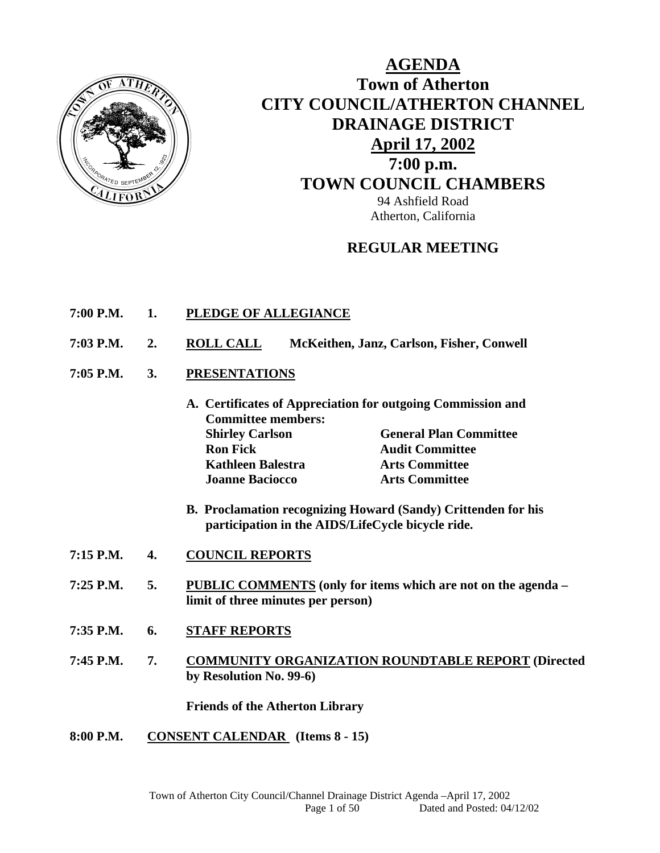

# **AGENDA Town of Atherton CITY COUNCIL/ATHERTON CHANNEL DRAINAGE DISTRICT April 17, 2002 7:00 p.m. TOWN COUNCIL CHAMBERS** 94 Ashfield Road Atherton, California

# **REGULAR MEETING**

- **7:00 P.M. 1. PLEDGE OF ALLEGIANCE**
- **7:03 P.M. 2. ROLL CALL McKeithen, Janz, Carlson, Fisher, Conwell**
- **7:05 P.M. 3. PRESENTATIONS**
	- **A. Certificates of Appreciation for outgoing Commission and Committee members: Shirley Carlson General Plan Committee Ron Fick Audit Committee Audit Committee Kathleen Balestra Arts Committee Joanne Baciocco Arts Committee**
	- **B. Proclamation recognizing Howard (Sandy) Crittenden for his participation in the AIDS/LifeCycle bicycle ride.**
- **7:15 P.M. 4. COUNCIL REPORTS**
- **7:25 P.M. 5. PUBLIC COMMENTS (only for items which are not on the agenda limit of three minutes per person)**
- **7:35 P.M. 6. STAFF REPORTS**
- **7:45 P.M. 7. COMMUNITY ORGANIZATION ROUNDTABLE REPORT (Directed by Resolution No. 99-6)**

 **Friends of the Atherton Library** 

**8:00 P.M. CONSENT CALENDAR (Items 8 - 15)**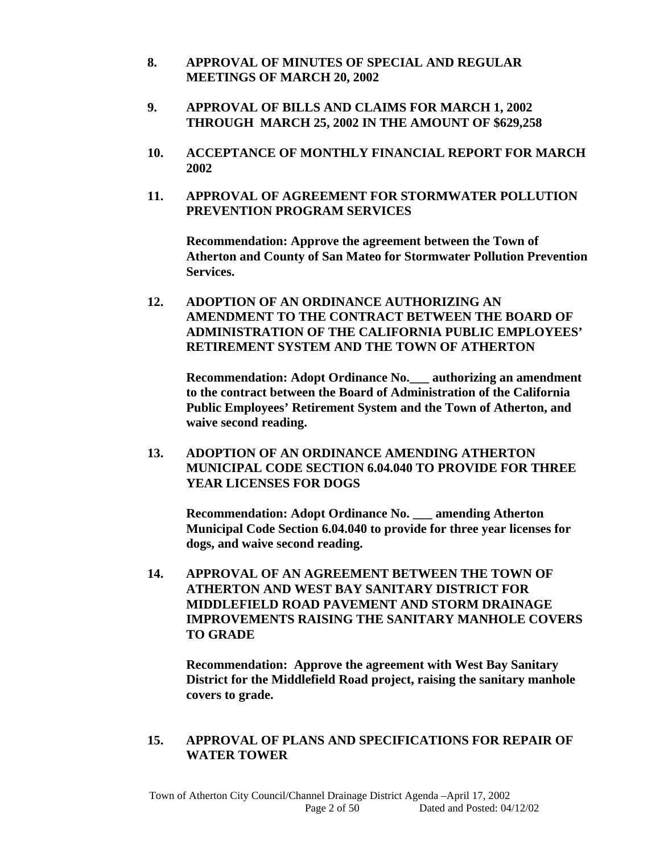- **8. APPROVAL OF MINUTES OF SPECIAL AND REGULAR MEETINGS OF MARCH 20, 2002**
- **9. APPROVAL OF BILLS AND CLAIMS FOR MARCH 1, 2002 THROUGH MARCH 25, 2002 IN THE AMOUNT OF \$629,258**
- **10. ACCEPTANCE OF MONTHLY FINANCIAL REPORT FOR MARCH 2002**
- **11. APPROVAL OF AGREEMENT FOR STORMWATER POLLUTION PREVENTION PROGRAM SERVICES**

 **Recommendation: Approve the agreement between the Town of Atherton and County of San Mateo for Stormwater Pollution Prevention Services.** 

**12. ADOPTION OF AN ORDINANCE AUTHORIZING AN AMENDMENT TO THE CONTRACT BETWEEN THE BOARD OF ADMINISTRATION OF THE CALIFORNIA PUBLIC EMPLOYEES' RETIREMENT SYSTEM AND THE TOWN OF ATHERTON** 

**Recommendation: Adopt Ordinance No.\_\_\_ authorizing an amendment to the contract between the Board of Administration of the California Public Employees' Retirement System and the Town of Atherton, and waive second reading.** 

 **13. ADOPTION OF AN ORDINANCE AMENDING ATHERTON MUNICIPAL CODE SECTION 6.04.040 TO PROVIDE FOR THREE YEAR LICENSES FOR DOGS** 

 **Recommendation: Adopt Ordinance No. \_\_\_ amending Atherton Municipal Code Section 6.04.040 to provide for three year licenses for dogs, and waive second reading.** 

**14. APPROVAL OF AN AGREEMENT BETWEEN THE TOWN OF ATHERTON AND WEST BAY SANITARY DISTRICT FOR MIDDLEFIELD ROAD PAVEMENT AND STORM DRAINAGE IMPROVEMENTS RAISING THE SANITARY MANHOLE COVERS TO GRADE** 

 **Recommendation: Approve the agreement with West Bay Sanitary District for the Middlefield Road project, raising the sanitary manhole covers to grade.** 

### **15. APPROVAL OF PLANS AND SPECIFICATIONS FOR REPAIR OF WATER TOWER**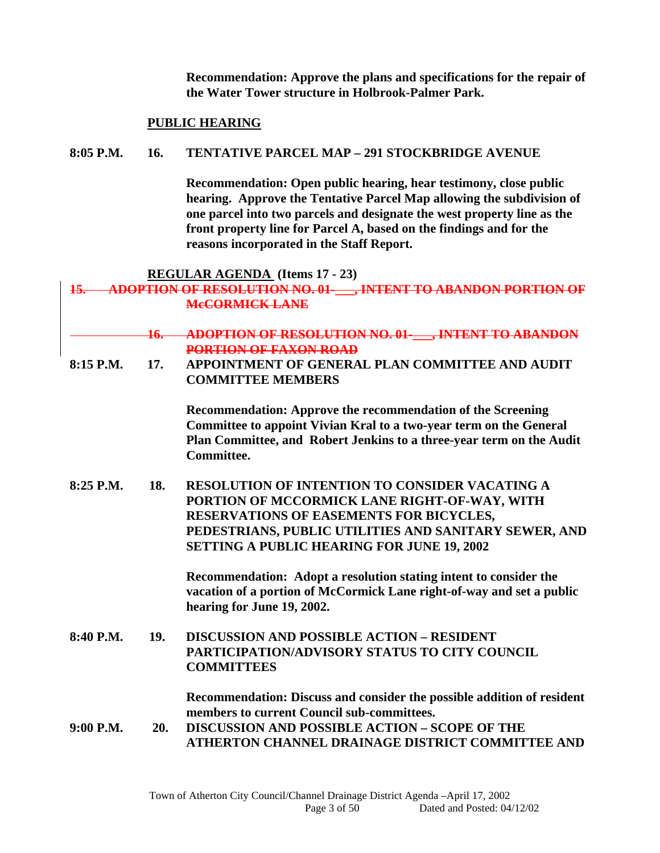**Recommendation: Approve the plans and specifications for the repair of the Water Tower structure in Holbrook-Palmer Park.** 

#### **PUBLIC HEARING**

#### **8:05 P.M. 16. TENTATIVE PARCEL MAP – 291 STOCKBRIDGE AVENUE**

 **Recommendation: Open public hearing, hear testimony, close public hearing. Approve the Tentative Parcel Map allowing the subdivision of one parcel into two parcels and designate the west property line as the front property line for Parcel A, based on the findings and for the reasons incorporated in the Staff Report.** 

#### **REGULAR AGENDA (Items 17 - 23)**

### **15. ADOPTION OF RESOLUTION NO. 01-\_\_\_, INTENT TO ABANDON PORTION OF McCORMICK LANE**

**16. ADOPTION OF RESOLUTION NO. 01-\_\_\_, INTENT TO ABANDON PORTION OF FAXON ROAD**

**8:15 P.M. 17. APPOINTMENT OF GENERAL PLAN COMMITTEE AND AUDIT COMMITTEE MEMBERS** 

> **Recommendation: Approve the recommendation of the Screening Committee to appoint Vivian Kral to a two-year term on the General Plan Committee, and Robert Jenkins to a three-year term on the Audit Committee.**

**8:25 P.M. 18. RESOLUTION OF INTENTION TO CONSIDER VACATING A PORTION OF MCCORMICK LANE RIGHT-OF-WAY, WITH RESERVATIONS OF EASEMENTS FOR BICYCLES, PEDESTRIANS, PUBLIC UTILITIES AND SANITARY SEWER, AND SETTING A PUBLIC HEARING FOR JUNE 19, 2002** 

> **Recommendation: Adopt a resolution stating intent to consider the vacation of a portion of McCormick Lane right-of-way and set a public hearing for June 19, 2002.**

**8:40 P.M. 19. DISCUSSION AND POSSIBLE ACTION – RESIDENT PARTICIPATION/ADVISORY STATUS TO CITY COUNCIL COMMITTEES** 

> **Recommendation: Discuss and consider the possible addition of resident members to current Council sub-committees.**

**9:00 P.M. 20. DISCUSSION AND POSSIBLE ACTION – SCOPE OF THE ATHERTON CHANNEL DRAINAGE DISTRICT COMMITTEE AND**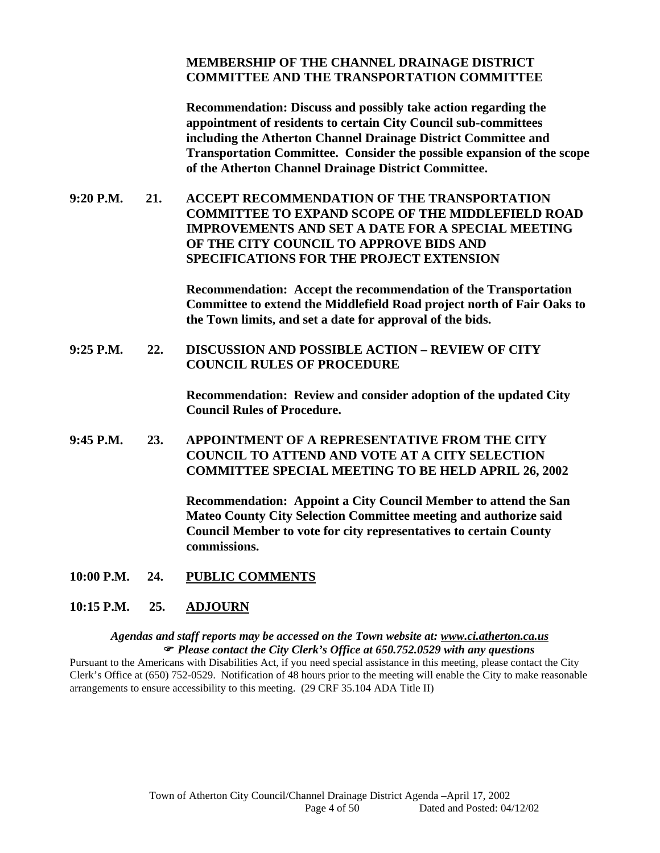### **MEMBERSHIP OF THE CHANNEL DRAINAGE DISTRICT COMMITTEE AND THE TRANSPORTATION COMMITTEE**

 **Recommendation: Discuss and possibly take action regarding the appointment of residents to certain City Council sub-committees including the Atherton Channel Drainage District Committee and Transportation Committee. Consider the possible expansion of the scope of the Atherton Channel Drainage District Committee.** 

**9:20 P.M. 21. ACCEPT RECOMMENDATION OF THE TRANSPORTATION COMMITTEE TO EXPAND SCOPE OF THE MIDDLEFIELD ROAD IMPROVEMENTS AND SET A DATE FOR A SPECIAL MEETING OF THE CITY COUNCIL TO APPROVE BIDS AND SPECIFICATIONS FOR THE PROJECT EXTENSION** 

> **Recommendation: Accept the recommendation of the Transportation Committee to extend the Middlefield Road project north of Fair Oaks to the Town limits, and set a date for approval of the bids.**

**9:25 P.M. 22. DISCUSSION AND POSSIBLE ACTION – REVIEW OF CITY COUNCIL RULES OF PROCEDURE** 

> **Recommendation: Review and consider adoption of the updated City Council Rules of Procedure.**

**9:45 P.M. 23. APPOINTMENT OF A REPRESENTATIVE FROM THE CITY COUNCIL TO ATTEND AND VOTE AT A CITY SELECTION COMMITTEE SPECIAL MEETING TO BE HELD APRIL 26, 2002** 

> **Recommendation: Appoint a City Council Member to attend the San Mateo County City Selection Committee meeting and authorize said Council Member to vote for city representatives to certain County commissions.**

**10:00 P.M. 24. PUBLIC COMMENTS**

#### **10:15 P.M. 25. ADJOURN**

#### *Agendas and staff reports may be accessed on the Town website at: www.ci.atherton.ca.us Please contact the City Clerk's Office at 650.752.0529 with any questions*

Pursuant to the Americans with Disabilities Act, if you need special assistance in this meeting, please contact the City Clerk's Office at (650) 752-0529. Notification of 48 hours prior to the meeting will enable the City to make reasonable arrangements to ensure accessibility to this meeting. (29 CRF 35.104 ADA Title II)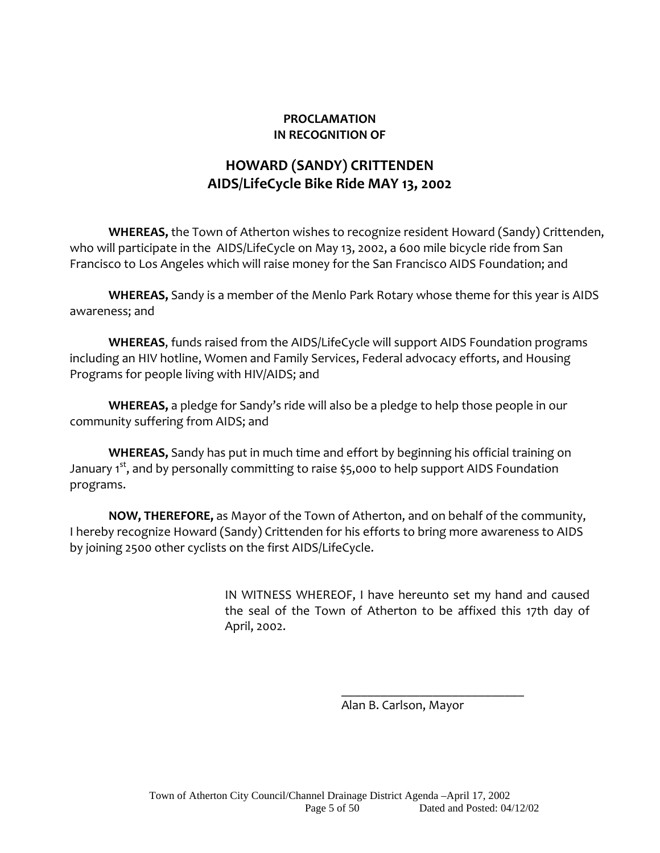### **PROCLAMATION IN RECOGNITION OF**

# **HOWARD (SANDY) CRITTENDEN AIDS/LifeCycle Bike Ride MAY 13, 2002**

**WHEREAS,** the Town of Atherton wishes to recognize resident Howard (Sandy) Crittenden, who will participate in the AIDS/LifeCycle on May 13, 2002, a 600 mile bicycle ride from San Francisco to Los Angeles which will raise money for the San Francisco AIDS Foundation; and

**WHEREAS,** Sandy is a member of the Menlo Park Rotary whose theme for this year is AIDS awareness; and

**WHEREAS**, funds raised from the AIDS/LifeCycle will support AIDS Foundation programs including an HIV hotline, Women and Family Services, Federal advocacy efforts, and Housing Programs for people living with HIV/AIDS; and

**WHEREAS,** a pledge for Sandy's ride will also be a pledge to help those people in our community suffering from AIDS; and

**WHEREAS,** Sandy has put in much time and effort by beginning his official training on January 1<sup>st</sup>, and by personally committing to raise \$5,000 to help support AIDS Foundation programs.

**NOW, THEREFORE,** as Mayor of the Town of Atherton, and on behalf of the community, I hereby recognize Howard (Sandy) Crittenden for his efforts to bring more awareness to AIDS by joining 2500 other cyclists on the first AIDS/LifeCycle.

 $\overline{\phantom{a}}$  , and the contract of the contract of the contract of the contract of the contract of the contract of the contract of the contract of the contract of the contract of the contract of the contract of the contrac

IN WITNESS WHEREOF, I have hereunto set my hand and caused the seal of the Town of Atherton to be affixed this 17th day of April, 2002.

Alan B. Carlson, Mayor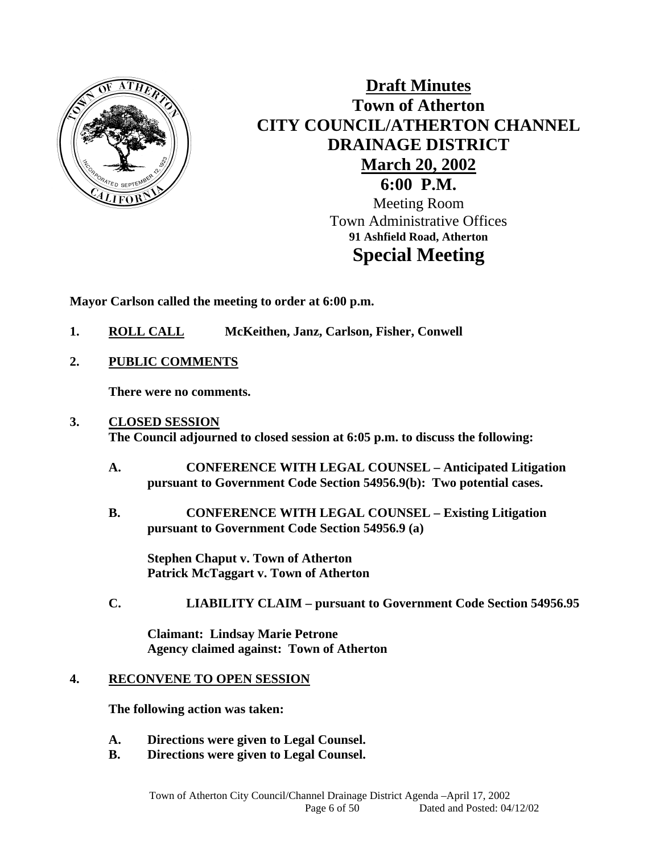

# **Draft Minutes Town of Atherton CITY COUNCIL/ATHERTON CHANNEL DRAINAGE DISTRICT March 20, 2002 6:00 P.M.**

Meeting Room Town Administrative Offices **91 Ashfield Road, Atherton Special Meeting** 

**Mayor Carlson called the meeting to order at 6:00 p.m.** 

- **1. ROLL CALL McKeithen, Janz, Carlson, Fisher, Conwell**
- **2. PUBLIC COMMENTS**

 **There were no comments.** 

### **3. CLOSED SESSION The Council adjourned to closed session at 6:05 p.m. to discuss the following:**

- **A. CONFERENCE WITH LEGAL COUNSEL Anticipated Litigation pursuant to Government Code Section 54956.9(b): Two potential cases.**
- **B. CONFERENCE WITH LEGAL COUNSEL Existing Litigation pursuant to Government Code Section 54956.9 (a)**

**Stephen Chaput v. Town of Atherton Patrick McTaggart v. Town of Atherton** 

**C. LIABILITY CLAIM – pursuant to Government Code Section 54956.95** 

**Claimant: Lindsay Marie Petrone Agency claimed against: Town of Atherton** 

### **4. RECONVENE TO OPEN SESSION**

 **The following action was taken:** 

- **A. Directions were given to Legal Counsel.**
- **B. Directions were given to Legal Counsel.**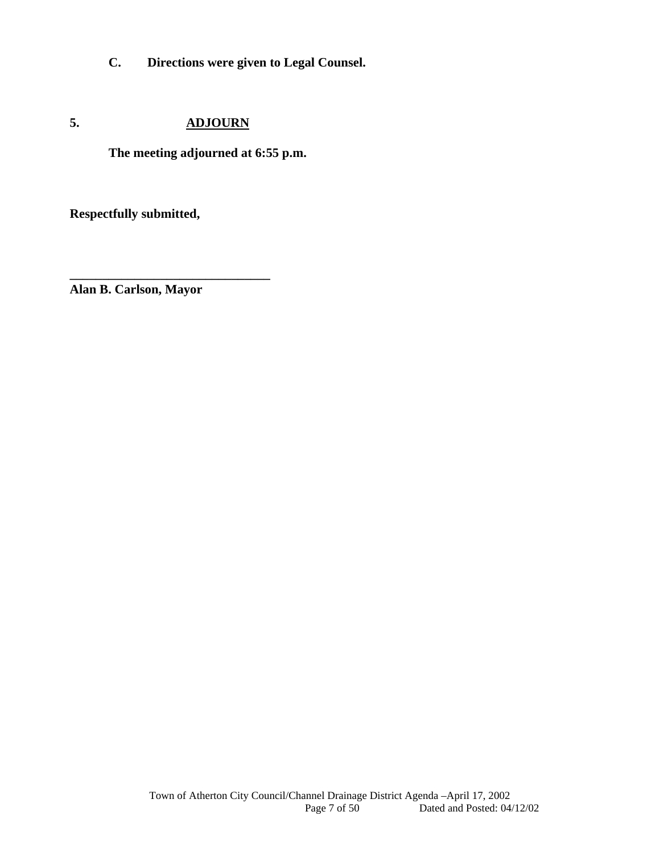**C. Directions were given to Legal Counsel.** 

# **5. ADJOURN**

**The meeting adjourned at 6:55 p.m.** 

**Respectfully submitted,** 

**\_\_\_\_\_\_\_\_\_\_\_\_\_\_\_\_\_\_\_\_\_\_\_\_\_\_\_\_\_\_\_ Alan B. Carlson, Mayor**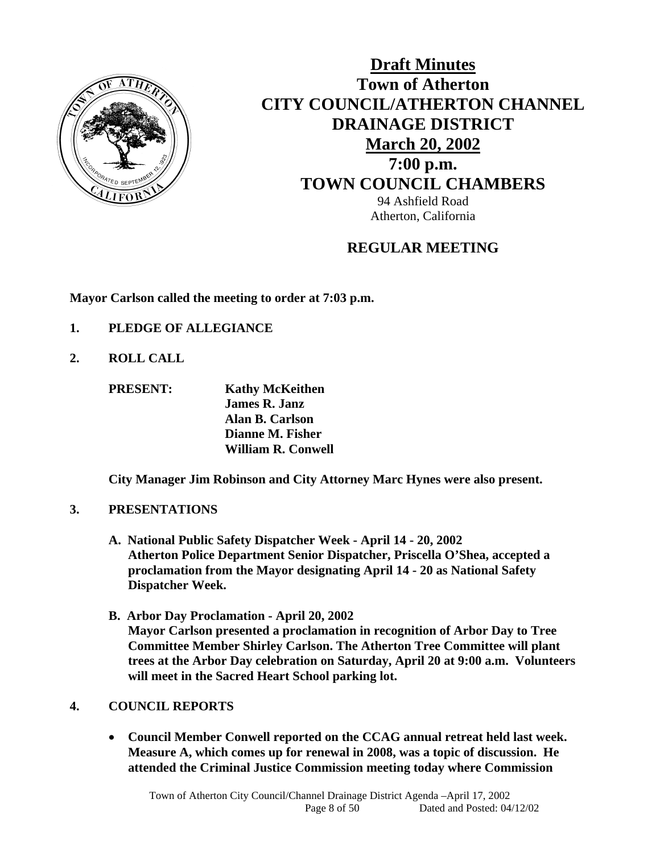

**Draft Minutes Town of Atherton CITY COUNCIL/ATHERTON CHANNEL DRAINAGE DISTRICT March 20, 2002 7:00 p.m. TOWN COUNCIL CHAMBERS** 94 Ashfield Road Atherton, California

# **REGULAR MEETING**

**Mayor Carlson called the meeting to order at 7:03 p.m.** 

- **1. PLEDGE OF ALLEGIANCE**
- **2. ROLL CALL**

 **PRESENT: Kathy McKeithen James R. Janz Alan B. Carlson Dianne M. Fisher William R. Conwell** 

 **City Manager Jim Robinson and City Attorney Marc Hynes were also present.** 

### **3. PRESENTATIONS**

- **A. National Public Safety Dispatcher Week April 14 20, 2002 Atherton Police Department Senior Dispatcher, Priscella O'Shea, accepted a proclamation from the Mayor designating April 14 - 20 as National Safety Dispatcher Week.**
- **B. Arbor Day Proclamation April 20, 2002 Mayor Carlson presented a proclamation in recognition of Arbor Day to Tree Committee Member Shirley Carlson. The Atherton Tree Committee will plant trees at the Arbor Day celebration on Saturday, April 20 at 9:00 a.m. Volunteers will meet in the Sacred Heart School parking lot.**

### **4. COUNCIL REPORTS**

 **Council Member Conwell reported on the CCAG annual retreat held last week. Measure A, which comes up for renewal in 2008, was a topic of discussion. He attended the Criminal Justice Commission meeting today where Commission**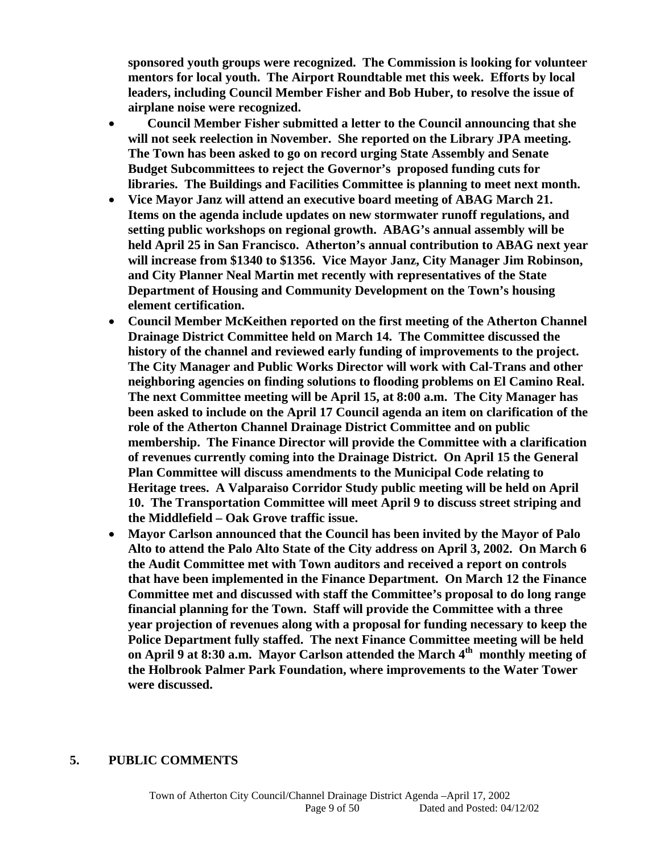**sponsored youth groups were recognized. The Commission is looking for volunteer mentors for local youth. The Airport Roundtable met this week. Efforts by local leaders, including Council Member Fisher and Bob Huber, to resolve the issue of airplane noise were recognized.** 

- **Council Member Fisher submitted a letter to the Council announcing that she will not seek reelection in November. She reported on the Library JPA meeting. The Town has been asked to go on record urging State Assembly and Senate Budget Subcommittees to reject the Governor's proposed funding cuts for libraries. The Buildings and Facilities Committee is planning to meet next month.**
- **Vice Mayor Janz will attend an executive board meeting of ABAG March 21. Items on the agenda include updates on new stormwater runoff regulations, and setting public workshops on regional growth. ABAG's annual assembly will be held April 25 in San Francisco. Atherton's annual contribution to ABAG next year will increase from \$1340 to \$1356. Vice Mayor Janz, City Manager Jim Robinson, and City Planner Neal Martin met recently with representatives of the State Department of Housing and Community Development on the Town's housing element certification.**
- **Council Member McKeithen reported on the first meeting of the Atherton Channel Drainage District Committee held on March 14. The Committee discussed the history of the channel and reviewed early funding of improvements to the project. The City Manager and Public Works Director will work with Cal-Trans and other neighboring agencies on finding solutions to flooding problems on El Camino Real. The next Committee meeting will be April 15, at 8:00 a.m. The City Manager has been asked to include on the April 17 Council agenda an item on clarification of the role of the Atherton Channel Drainage District Committee and on public membership. The Finance Director will provide the Committee with a clarification of revenues currently coming into the Drainage District. On April 15 the General Plan Committee will discuss amendments to the Municipal Code relating to Heritage trees. A Valparaiso Corridor Study public meeting will be held on April 10. The Transportation Committee will meet April 9 to discuss street striping and the Middlefield – Oak Grove traffic issue.**
- **Mayor Carlson announced that the Council has been invited by the Mayor of Palo Alto to attend the Palo Alto State of the City address on April 3, 2002. On March 6 the Audit Committee met with Town auditors and received a report on controls that have been implemented in the Finance Department. On March 12 the Finance Committee met and discussed with staff the Committee's proposal to do long range financial planning for the Town. Staff will provide the Committee with a three year projection of revenues along with a proposal for funding necessary to keep the Police Department fully staffed. The next Finance Committee meeting will be held on April 9 at 8:30 a.m. Mayor Carlson attended the March 4th monthly meeting of the Holbrook Palmer Park Foundation, where improvements to the Water Tower were discussed.**

#### **5. PUBLIC COMMENTS**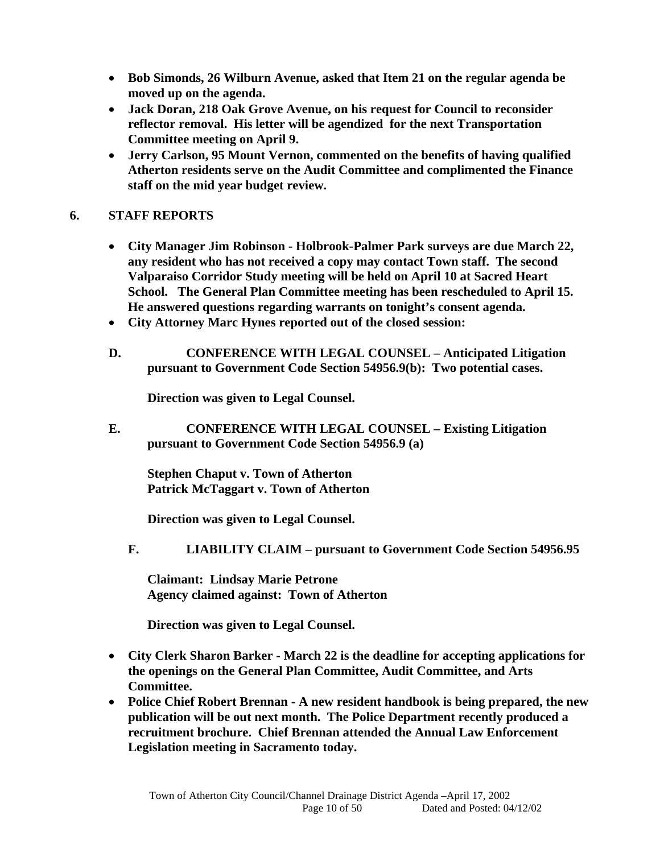- **Bob Simonds, 26 Wilburn Avenue, asked that Item 21 on the regular agenda be moved up on the agenda.**
- **Jack Doran, 218 Oak Grove Avenue, on his request for Council to reconsider reflector removal. His letter will be agendized for the next Transportation Committee meeting on April 9.**
- **Jerry Carlson, 95 Mount Vernon, commented on the benefits of having qualified Atherton residents serve on the Audit Committee and complimented the Finance staff on the mid year budget review.**

# **6. STAFF REPORTS**

- **City Manager Jim Robinson Holbrook-Palmer Park surveys are due March 22, any resident who has not received a copy may contact Town staff. The second Valparaiso Corridor Study meeting will be held on April 10 at Sacred Heart School. The General Plan Committee meeting has been rescheduled to April 15. He answered questions regarding warrants on tonight's consent agenda.**
- **City Attorney Marc Hynes reported out of the closed session:**
- **D. CONFERENCE WITH LEGAL COUNSEL Anticipated Litigation pursuant to Government Code Section 54956.9(b): Two potential cases.**

**Direction was given to Legal Counsel.** 

**E. CONFERENCE WITH LEGAL COUNSEL – Existing Litigation pursuant to Government Code Section 54956.9 (a)** 

**Stephen Chaput v. Town of Atherton Patrick McTaggart v. Town of Atherton** 

**Direction was given to Legal Counsel.** 

**F. LIABILITY CLAIM – pursuant to Government Code Section 54956.95** 

**Claimant: Lindsay Marie Petrone Agency claimed against: Town of Atherton** 

 **Direction was given to Legal Counsel.** 

- **City Clerk Sharon Barker March 22 is the deadline for accepting applications for the openings on the General Plan Committee, Audit Committee, and Arts Committee.**
- **Police Chief Robert Brennan A new resident handbook is being prepared, the new publication will be out next month. The Police Department recently produced a recruitment brochure. Chief Brennan attended the Annual Law Enforcement Legislation meeting in Sacramento today.**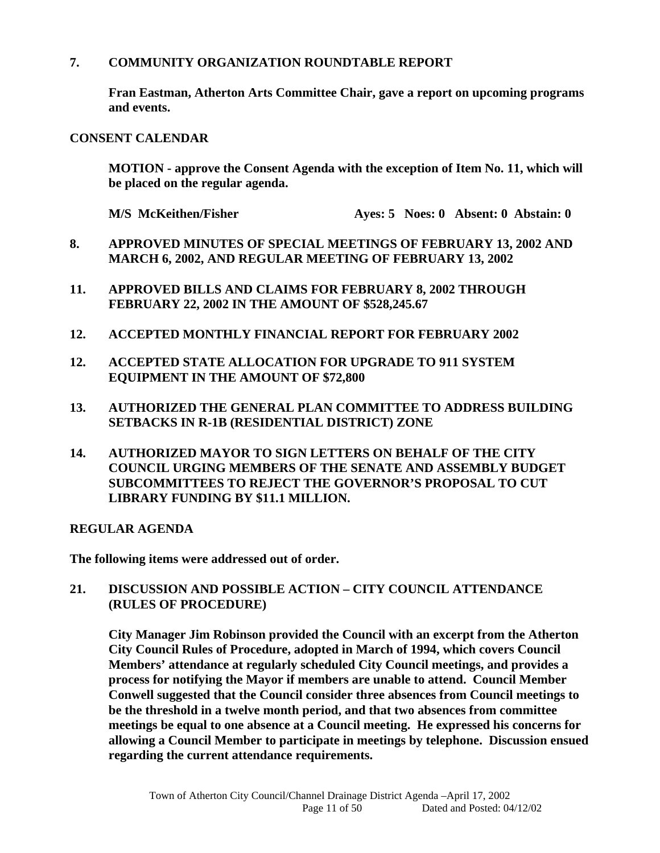### **7. COMMUNITY ORGANIZATION ROUNDTABLE REPORT**

**Fran Eastman, Atherton Arts Committee Chair, gave a report on upcoming programs and events.** 

**CONSENT CALENDAR** 

 **MOTION - approve the Consent Agenda with the exception of Item No. 11, which will be placed on the regular agenda.** 

**M/S McKeithen/Fisher Ayes: 5 Noes: 0 Absent: 0 Abstain: 0** 

- **8. APPROVED MINUTES OF SPECIAL MEETINGS OF FEBRUARY 13, 2002 AND MARCH 6, 2002, AND REGULAR MEETING OF FEBRUARY 13, 2002**
- **11. APPROVED BILLS AND CLAIMS FOR FEBRUARY 8, 2002 THROUGH FEBRUARY 22, 2002 IN THE AMOUNT OF \$528,245.67**
- **12. ACCEPTED MONTHLY FINANCIAL REPORT FOR FEBRUARY 2002**
- **12. ACCEPTED STATE ALLOCATION FOR UPGRADE TO 911 SYSTEM EQUIPMENT IN THE AMOUNT OF \$72,800**
- **13. AUTHORIZED THE GENERAL PLAN COMMITTEE TO ADDRESS BUILDING SETBACKS IN R-1B (RESIDENTIAL DISTRICT) ZONE**
- **14. AUTHORIZED MAYOR TO SIGN LETTERS ON BEHALF OF THE CITY COUNCIL URGING MEMBERS OF THE SENATE AND ASSEMBLY BUDGET SUBCOMMITTEES TO REJECT THE GOVERNOR'S PROPOSAL TO CUT LIBRARY FUNDING BY \$11.1 MILLION.**

**REGULAR AGENDA** 

**The following items were addressed out of order.** 

**21. DISCUSSION AND POSSIBLE ACTION – CITY COUNCIL ATTENDANCE (RULES OF PROCEDURE)** 

 **City Manager Jim Robinson provided the Council with an excerpt from the Atherton City Council Rules of Procedure, adopted in March of 1994, which covers Council Members' attendance at regularly scheduled City Council meetings, and provides a process for notifying the Mayor if members are unable to attend. Council Member Conwell suggested that the Council consider three absences from Council meetings to be the threshold in a twelve month period, and that two absences from committee meetings be equal to one absence at a Council meeting. He expressed his concerns for allowing a Council Member to participate in meetings by telephone. Discussion ensued regarding the current attendance requirements.**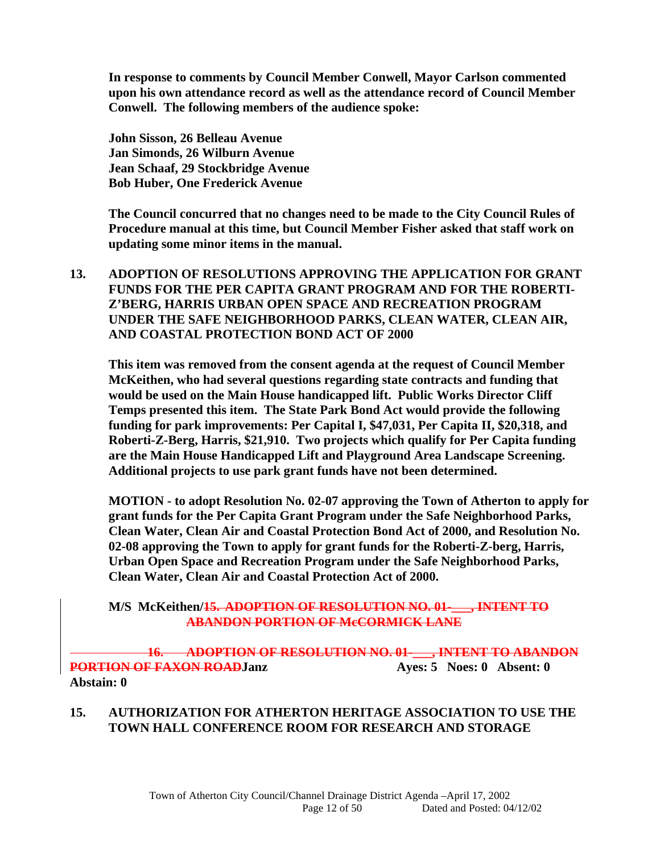**In response to comments by Council Member Conwell, Mayor Carlson commented upon his own attendance record as well as the attendance record of Council Member Conwell. The following members of the audience spoke:** 

 **John Sisson, 26 Belleau Avenue Jan Simonds, 26 Wilburn Avenue Jean Schaaf, 29 Stockbridge Avenue Bob Huber, One Frederick Avenue** 

**The Council concurred that no changes need to be made to the City Council Rules of Procedure manual at this time, but Council Member Fisher asked that staff work on updating some minor items in the manual.** 

**13. ADOPTION OF RESOLUTIONS APPROVING THE APPLICATION FOR GRANT FUNDS FOR THE PER CAPITA GRANT PROGRAM AND FOR THE ROBERTI-Z'BERG, HARRIS URBAN OPEN SPACE AND RECREATION PROGRAM UNDER THE SAFE NEIGHBORHOOD PARKS, CLEAN WATER, CLEAN AIR, AND COASTAL PROTECTION BOND ACT OF 2000** 

**This item was removed from the consent agenda at the request of Council Member McKeithen, who had several questions regarding state contracts and funding that would be used on the Main House handicapped lift. Public Works Director Cliff Temps presented this item. The State Park Bond Act would provide the following funding for park improvements: Per Capital I, \$47,031, Per Capita II, \$20,318, and Roberti-Z-Berg, Harris, \$21,910. Two projects which qualify for Per Capita funding are the Main House Handicapped Lift and Playground Area Landscape Screening. Additional projects to use park grant funds have not been determined.** 

 **MOTION - to adopt Resolution No. 02-07 approving the Town of Atherton to apply for grant funds for the Per Capita Grant Program under the Safe Neighborhood Parks, Clean Water, Clean Air and Coastal Protection Bond Act of 2000, and Resolution No. 02-08 approving the Town to apply for grant funds for the Roberti-Z-berg, Harris, Urban Open Space and Recreation Program under the Safe Neighborhood Parks, Clean Water, Clean Air and Coastal Protection Act of 2000.** 

### **M/S McKeithen/15. ADOPTION OF RESOLUTION NO. 01-\_\_\_, INTENT TO ABANDON PORTION OF McCORMICK LANE**

**16. ADOPTION OF RESOLUTION NO. 01-\_\_\_, INTENT TO ABANDON PORTION OF FAXON ROADJanz Ayes: 5 Noes: 0 Absent: 0 Abstain: 0** 

### **15. AUTHORIZATION FOR ATHERTON HERITAGE ASSOCIATION TO USE THE TOWN HALL CONFERENCE ROOM FOR RESEARCH AND STORAGE**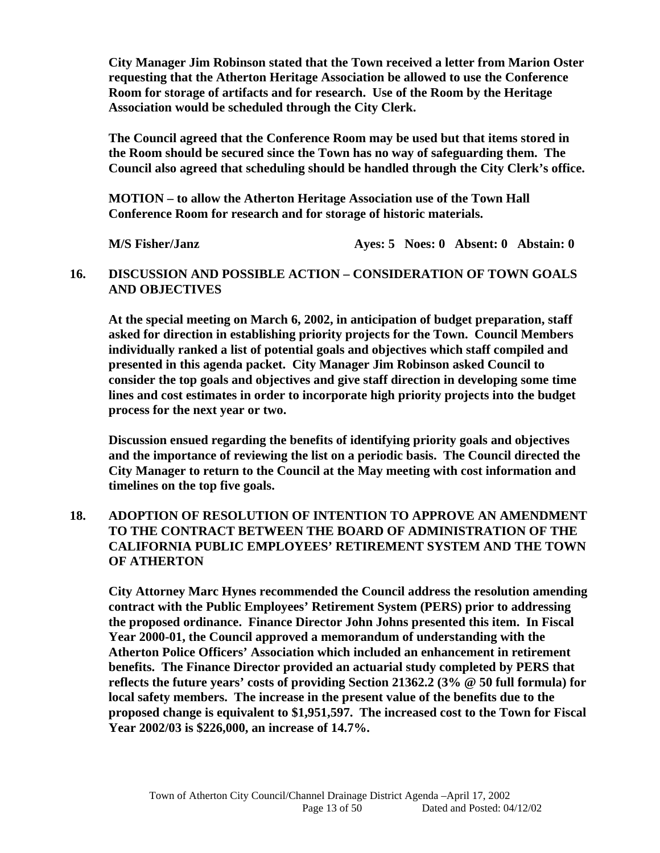**City Manager Jim Robinson stated that the Town received a letter from Marion Oster requesting that the Atherton Heritage Association be allowed to use the Conference Room for storage of artifacts and for research. Use of the Room by the Heritage Association would be scheduled through the City Clerk.** 

**The Council agreed that the Conference Room may be used but that items stored in the Room should be secured since the Town has no way of safeguarding them. The Council also agreed that scheduling should be handled through the City Clerk's office.** 

**MOTION – to allow the Atherton Heritage Association use of the Town Hall Conference Room for research and for storage of historic materials.** 

 **M/S Fisher/Janz Ayes: 5 Noes: 0 Absent: 0 Abstain: 0** 

### **16. DISCUSSION AND POSSIBLE ACTION – CONSIDERATION OF TOWN GOALS AND OBJECTIVES**

**At the special meeting on March 6, 2002, in anticipation of budget preparation, staff asked for direction in establishing priority projects for the Town. Council Members individually ranked a list of potential goals and objectives which staff compiled and presented in this agenda packet. City Manager Jim Robinson asked Council to consider the top goals and objectives and give staff direction in developing some time lines and cost estimates in order to incorporate high priority projects into the budget process for the next year or two.** 

**Discussion ensued regarding the benefits of identifying priority goals and objectives and the importance of reviewing the list on a periodic basis. The Council directed the City Manager to return to the Council at the May meeting with cost information and timelines on the top five goals.** 

### **18. ADOPTION OF RESOLUTION OF INTENTION TO APPROVE AN AMENDMENT TO THE CONTRACT BETWEEN THE BOARD OF ADMINISTRATION OF THE CALIFORNIA PUBLIC EMPLOYEES' RETIREMENT SYSTEM AND THE TOWN OF ATHERTON**

 **City Attorney Marc Hynes recommended the Council address the resolution amending contract with the Public Employees' Retirement System (PERS) prior to addressing the proposed ordinance. Finance Director John Johns presented this item. In Fiscal Year 2000-01, the Council approved a memorandum of understanding with the Atherton Police Officers' Association which included an enhancement in retirement benefits. The Finance Director provided an actuarial study completed by PERS that reflects the future years' costs of providing Section 21362.2 (3% @ 50 full formula) for local safety members. The increase in the present value of the benefits due to the proposed change is equivalent to \$1,951,597. The increased cost to the Town for Fiscal Year 2002/03 is \$226,000, an increase of 14.7%.**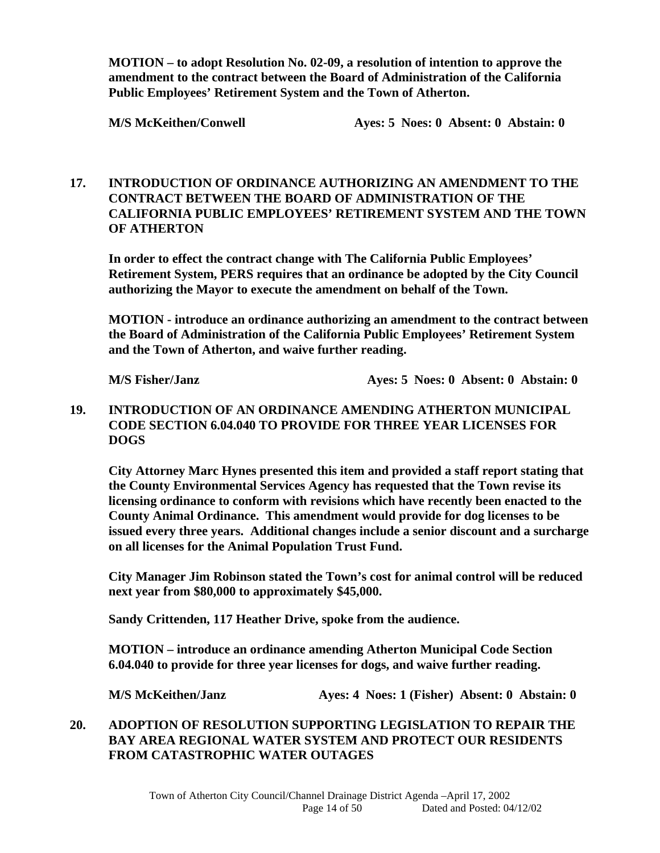**MOTION – to adopt Resolution No. 02-09, a resolution of intention to approve the amendment to the contract between the Board of Administration of the California Public Employees' Retirement System and the Town of Atherton.** 

**M/S McKeithen/Conwell Ayes: 5 Noes: 0 Absent: 0 Abstain: 0** 

### **17. INTRODUCTION OF ORDINANCE AUTHORIZING AN AMENDMENT TO THE CONTRACT BETWEEN THE BOARD OF ADMINISTRATION OF THE CALIFORNIA PUBLIC EMPLOYEES' RETIREMENT SYSTEM AND THE TOWN OF ATHERTON**

 **In order to effect the contract change with The California Public Employees' Retirement System, PERS requires that an ordinance be adopted by the City Council authorizing the Mayor to execute the amendment on behalf of the Town.** 

**MOTION - introduce an ordinance authorizing an amendment to the contract between the Board of Administration of the California Public Employees' Retirement System and the Town of Atherton, and waive further reading.** 

 **M/S Fisher/Janz <br> Ayes: 5 Noes: 0 Absent: 0 Abstain: 0** 

### **19. INTRODUCTION OF AN ORDINANCE AMENDING ATHERTON MUNICIPAL CODE SECTION 6.04.040 TO PROVIDE FOR THREE YEAR LICENSES FOR DOGS**

 **City Attorney Marc Hynes presented this item and provided a staff report stating that the County Environmental Services Agency has requested that the Town revise its licensing ordinance to conform with revisions which have recently been enacted to the County Animal Ordinance. This amendment would provide for dog licenses to be issued every three years. Additional changes include a senior discount and a surcharge on all licenses for the Animal Population Trust Fund.** 

 **City Manager Jim Robinson stated the Town's cost for animal control will be reduced next year from \$80,000 to approximately \$45,000.** 

 **Sandy Crittenden, 117 Heather Drive, spoke from the audience.** 

**MOTION – introduce an ordinance amending Atherton Municipal Code Section 6.04.040 to provide for three year licenses for dogs, and waive further reading.** 

 **M/S McKeithen/Janz Ayes: 4 Noes: 1 (Fisher) Absent: 0 Abstain: 0** 

### **20. ADOPTION OF RESOLUTION SUPPORTING LEGISLATION TO REPAIR THE BAY AREA REGIONAL WATER SYSTEM AND PROTECT OUR RESIDENTS FROM CATASTROPHIC WATER OUTAGES**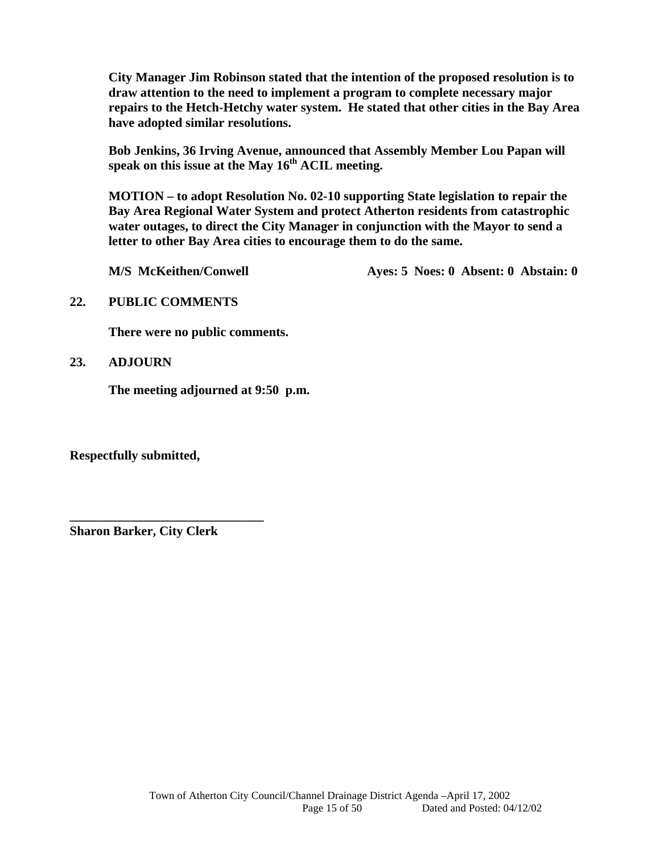**City Manager Jim Robinson stated that the intention of the proposed resolution is to draw attention to the need to implement a program to complete necessary major repairs to the Hetch-Hetchy water system. He stated that other cities in the Bay Area have adopted similar resolutions.** 

 **Bob Jenkins, 36 Irving Avenue, announced that Assembly Member Lou Papan will**  speak on this issue at the May 16<sup>th</sup> ACIL meeting.

**MOTION – to adopt Resolution No. 02-10 supporting State legislation to repair the Bay Area Regional Water System and protect Atherton residents from catastrophic water outages, to direct the City Manager in conjunction with the Mayor to send a letter to other Bay Area cities to encourage them to do the same.** 

**M/S McKeithen/Conwell Ayes: 5 Noes: 0 Absent: 0 Abstain: 0** 

### **22. PUBLIC COMMENTS**

 **There were no public comments.** 

**23. ADJOURN**

 **The meeting adjourned at 9:50 p.m.** 

**Respectfully submitted,** 

**Sharon Barker, City Clerk** 

**\_\_\_\_\_\_\_\_\_\_\_\_\_\_\_\_\_\_\_\_\_\_\_\_\_\_\_\_\_\_**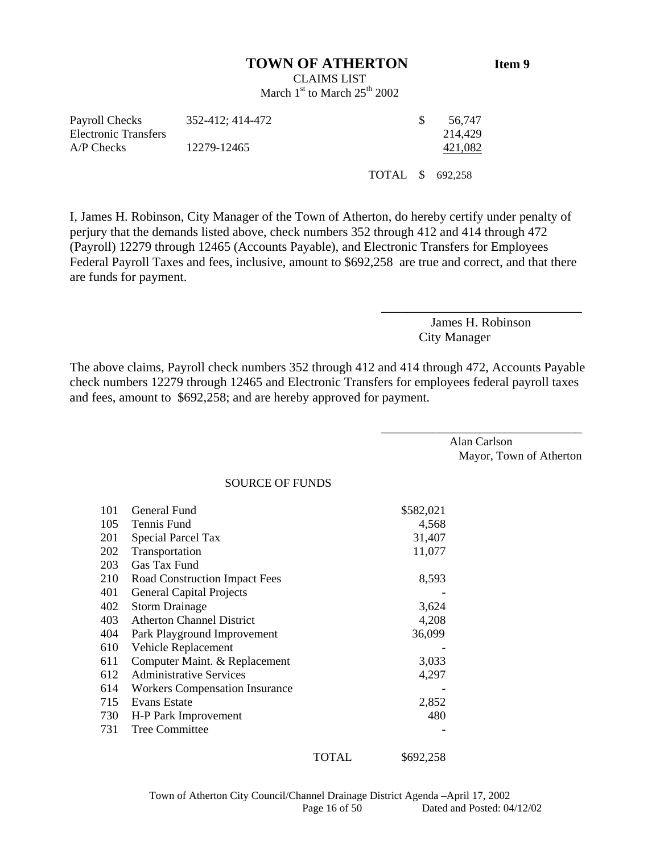#### **TOWN OF ATHERTON Item 9**

CLAIMS LIST March  $1<sup>st</sup>$  to March  $25<sup>th</sup>$  2002

| Payroll Checks       | 352-412: 414-472 |                  | 56.747  |
|----------------------|------------------|------------------|---------|
| Electronic Transfers |                  |                  | 214.429 |
| A/P Checks           | 12279-12465      |                  | 421,082 |
|                      |                  | TOTAL \$ 692,258 |         |

I, James H. Robinson, City Manager of the Town of Atherton, do hereby certify under penalty of perjury that the demands listed above, check numbers 352 through 412 and 414 through 472 (Payroll) 12279 through 12465 (Accounts Payable), and Electronic Transfers for Employees Federal Payroll Taxes and fees, inclusive, amount to \$692,258 are true and correct, and that there are funds for payment.

> James H. Robinson City Manager

\_\_\_\_\_\_\_\_\_\_\_\_\_\_\_\_\_\_\_\_\_\_\_\_\_\_\_\_\_\_\_

\_\_\_\_\_\_\_\_\_\_\_\_\_\_\_\_\_\_\_\_\_\_\_\_\_\_\_\_\_\_\_

The above claims, Payroll check numbers 352 through 412 and 414 through 472, Accounts Payable check numbers 12279 through 12465 and Electronic Transfers for employees federal payroll taxes and fees, amount to \$692,258; and are hereby approved for payment.

> Alan Carlson Mayor, Town of Atherton

#### SOURCE OF FUNDS

| 101 | General Fund                          |       | \$582,021 |
|-----|---------------------------------------|-------|-----------|
| 105 | Tennis Fund                           |       | 4,568     |
| 201 | Special Parcel Tax                    |       | 31,407    |
| 202 | Transportation                        |       | 11,077    |
| 203 | Gas Tax Fund                          |       |           |
| 210 | Road Construction Impact Fees         |       | 8,593     |
| 401 | <b>General Capital Projects</b>       |       |           |
| 402 | <b>Storm Drainage</b>                 |       | 3,624     |
| 403 | <b>Atherton Channel District</b>      |       | 4,208     |
| 404 | Park Playground Improvement           |       | 36,099    |
| 610 | Vehicle Replacement                   |       |           |
| 611 | Computer Maint. & Replacement         |       | 3,033     |
| 612 | <b>Administrative Services</b>        |       | 4,297     |
| 614 | <b>Workers Compensation Insurance</b> |       |           |
| 715 | Evans Estate                          |       | 2,852     |
| 730 | H-P Park Improvement                  |       | 480       |
| 731 | Tree Committee                        |       |           |
|     |                                       | TOTAL | \$692,258 |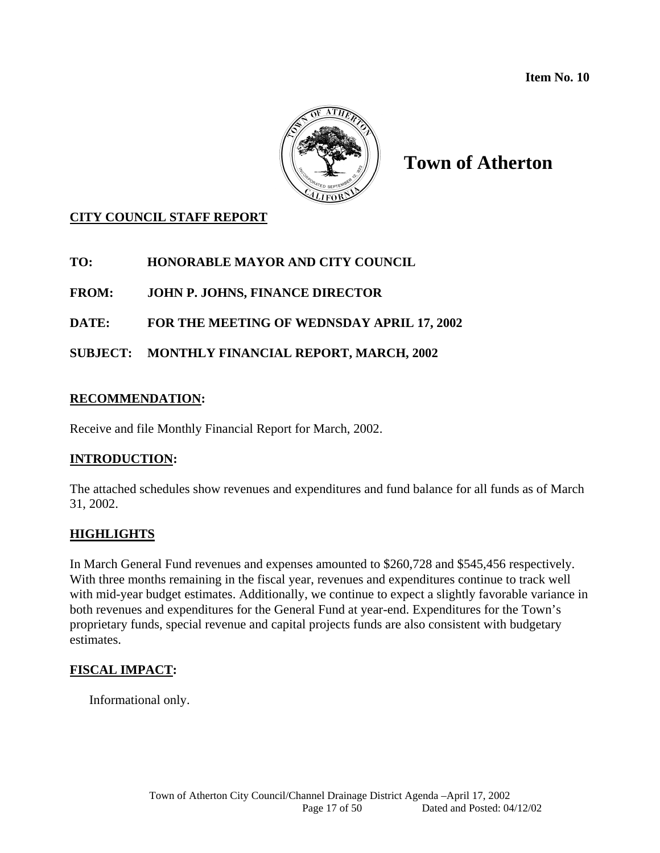**Item No. 10** 



# **Town of Atherton**

# **CITY COUNCIL STAFF REPORT**

**TO: HONORABLE MAYOR AND CITY COUNCIL** 

**FROM: JOHN P. JOHNS, FINANCE DIRECTOR** 

**DATE: FOR THE MEETING OF WEDNSDAY APRIL 17, 2002** 

**SUBJECT: MONTHLY FINANCIAL REPORT, MARCH, 2002** 

### **RECOMMENDATION:**

Receive and file Monthly Financial Report for March, 2002.

# **INTRODUCTION:**

The attached schedules show revenues and expenditures and fund balance for all funds as of March 31, 2002.

# **HIGHLIGHTS**

In March General Fund revenues and expenses amounted to \$260,728 and \$545,456 respectively. With three months remaining in the fiscal year, revenues and expenditures continue to track well with mid-year budget estimates. Additionally, we continue to expect a slightly favorable variance in both revenues and expenditures for the General Fund at year-end. Expenditures for the Town's proprietary funds, special revenue and capital projects funds are also consistent with budgetary estimates.

# **FISCAL IMPACT:**

Informational only.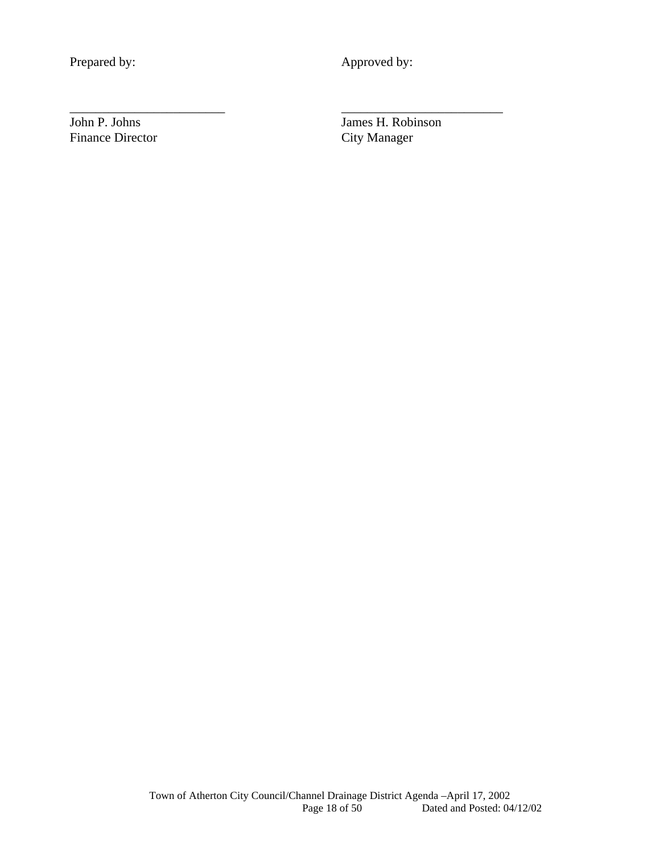Prepared by: Approved by:

\_\_\_\_\_\_\_\_\_\_\_\_\_\_\_\_\_\_\_\_\_\_\_\_ \_\_\_\_\_\_\_\_\_\_\_\_\_\_\_\_\_\_\_\_\_\_\_\_\_

Finance Director City Manager

John P. Johns James H. Robinson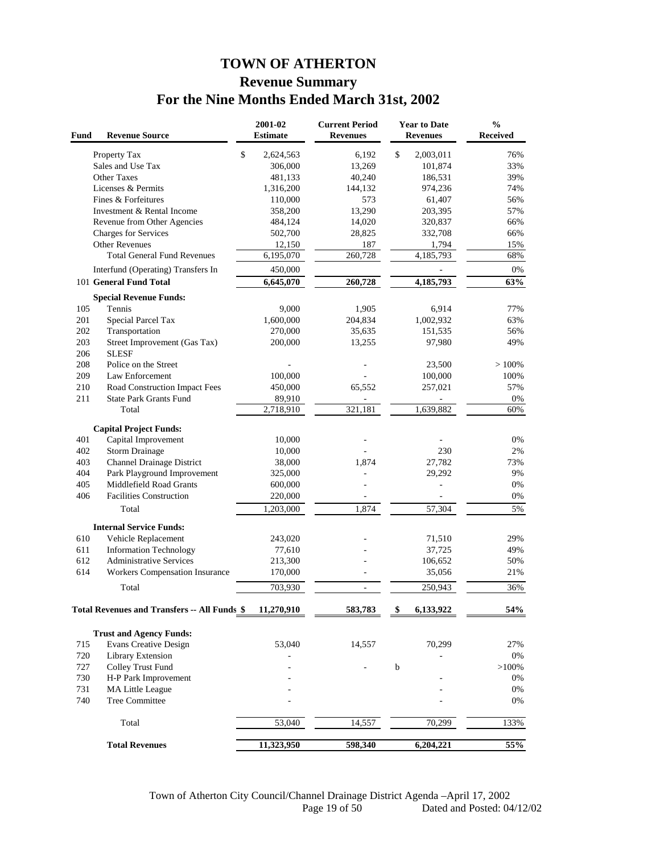# **TOWN OF ATHERTON Revenue Summary For the Nine Months Ended March 31st, 2002**

| Fund | <b>Revenue Source</b>                               | 2001-02<br><b>Estimate</b> | <b>Current Period</b><br><b>Revenues</b> |    | <b>Year to Date</b><br><b>Revenues</b> | $\frac{0}{0}$<br>Received |
|------|-----------------------------------------------------|----------------------------|------------------------------------------|----|----------------------------------------|---------------------------|
|      | Property Tax                                        | \$<br>2,624,563            | 6,192                                    | \$ | 2,003,011                              | 76%                       |
|      | Sales and Use Tax                                   | 306,000                    | 13,269                                   |    | 101,874                                | 33%                       |
|      | Other Taxes                                         | 481,133                    | 40,240                                   |    | 186,531                                | 39%                       |
|      | Licenses & Permits                                  | 1,316,200                  | 144,132                                  |    | 974,236                                | 74%                       |
|      | Fines & Forfeitures                                 | 110,000                    | 573                                      |    | 61,407                                 | 56%                       |
|      | Investment & Rental Income                          | 358,200                    | 13,290                                   |    | 203,395                                | 57%                       |
|      | Revenue from Other Agencies                         | 484,124                    | 14,020                                   |    | 320,837                                | 66%                       |
|      | Charges for Services                                | 502,700                    | 28,825                                   |    | 332,708                                | 66%                       |
|      | <b>Other Revenues</b>                               | 12,150                     | 187                                      |    | 1,794                                  | 15%                       |
|      | <b>Total General Fund Revenues</b>                  | 6,195,070                  | 260,728                                  |    | 4,185,793                              | 68%                       |
|      | Interfund (Operating) Transfers In                  | 450,000                    |                                          |    |                                        | 0%                        |
|      | 101 General Fund Total                              | 6,645,070                  | 260,728                                  |    | 4,185,793                              | 63%                       |
|      | <b>Special Revenue Funds:</b>                       |                            |                                          |    |                                        |                           |
| 105  | Tennis                                              | 9,000                      | 1,905                                    |    | 6,914                                  | 77%                       |
| 201  | Special Parcel Tax                                  | 1,600,000                  | 204,834                                  |    | 1,002,932                              | 63%                       |
| 202  | Transportation                                      | 270,000                    | 35,635                                   |    | 151,535                                | 56%                       |
| 203  | Street Improvement (Gas Tax)                        | 200,000                    | 13,255                                   |    | 97,980                                 | 49%                       |
| 206  | <b>SLESF</b>                                        |                            |                                          |    |                                        |                           |
| 208  | Police on the Street                                |                            |                                          |    | 23,500                                 | >100%                     |
| 209  | Law Enforcement                                     | 100,000                    |                                          |    | 100,000                                | 100%                      |
| 210  | Road Construction Impact Fees                       | 450,000                    | 65,552                                   |    | 257,021                                | 57%                       |
| 211  | <b>State Park Grants Fund</b>                       | 89,910                     |                                          |    |                                        | 0%                        |
|      | Total                                               | 2,718,910                  | 321,181                                  |    | 1,639,882                              | 60%                       |
|      | <b>Capital Project Funds:</b>                       |                            |                                          |    |                                        |                           |
| 401  | Capital Improvement                                 | 10,000                     |                                          |    |                                        | 0%                        |
| 402  | <b>Storm Drainage</b>                               | 10,000                     |                                          |    | 230                                    | 2%                        |
| 403  | <b>Channel Drainage District</b>                    | 38,000                     | 1,874                                    |    | 27,782                                 | 73%                       |
| 404  | Park Playground Improvement                         | 325,000                    |                                          |    | 29,292                                 | 9%                        |
| 405  | Middlefield Road Grants                             | 600,000                    |                                          |    |                                        | 0%                        |
| 406  | <b>Facilities Construction</b>                      | 220,000                    |                                          |    |                                        | 0%                        |
|      | Total                                               | 1,203,000                  | 1,874                                    |    | 57,304                                 | 5%                        |
|      | <b>Internal Service Funds:</b>                      |                            |                                          |    |                                        |                           |
| 610  | Vehicle Replacement                                 | 243,020                    |                                          |    | 71,510                                 | 29%                       |
| 611  | <b>Information Technology</b>                       | 77,610                     |                                          |    | 37,725                                 | 49%                       |
| 612  | <b>Administrative Services</b>                      | 213,300                    |                                          |    | 106,652                                | 50%                       |
| 614  | Workers Compensation Insurance                      | 170,000                    |                                          |    | 35,056                                 | 21%                       |
|      | Total                                               | 703,930                    | $\overline{\phantom{a}}$                 |    | 250,943                                | 36%                       |
|      |                                                     |                            |                                          |    |                                        |                           |
|      | <b>Total Revenues and Transfers -- All Funds \$</b> | 11,270,910                 | 583,783                                  | \$ | 6,133,922                              | 54%                       |
|      | <b>Trust and Agency Funds:</b>                      |                            |                                          |    |                                        |                           |
| 715  | <b>Evans Creative Design</b>                        | 53,040                     | 14,557                                   |    | 70,299                                 | 27%                       |
| 720  | Library Extension                                   |                            |                                          |    |                                        | 0%                        |
| 727  | Colley Trust Fund                                   |                            |                                          | b  |                                        | $>100\%$                  |
| 730  | H-P Park Improvement                                |                            |                                          |    |                                        | $0\%$                     |
| 731  | MA Little League                                    |                            |                                          |    |                                        | $0\%$                     |
| 740  | <b>Tree Committee</b>                               |                            |                                          |    |                                        | 0%                        |
|      |                                                     |                            |                                          |    |                                        |                           |
|      | Total                                               | 53,040                     | 14,557                                   |    | 70,299                                 | 133%                      |
|      | <b>Total Revenues</b>                               | 11,323,950                 | 598,340                                  |    | 6,204,221                              | 55%                       |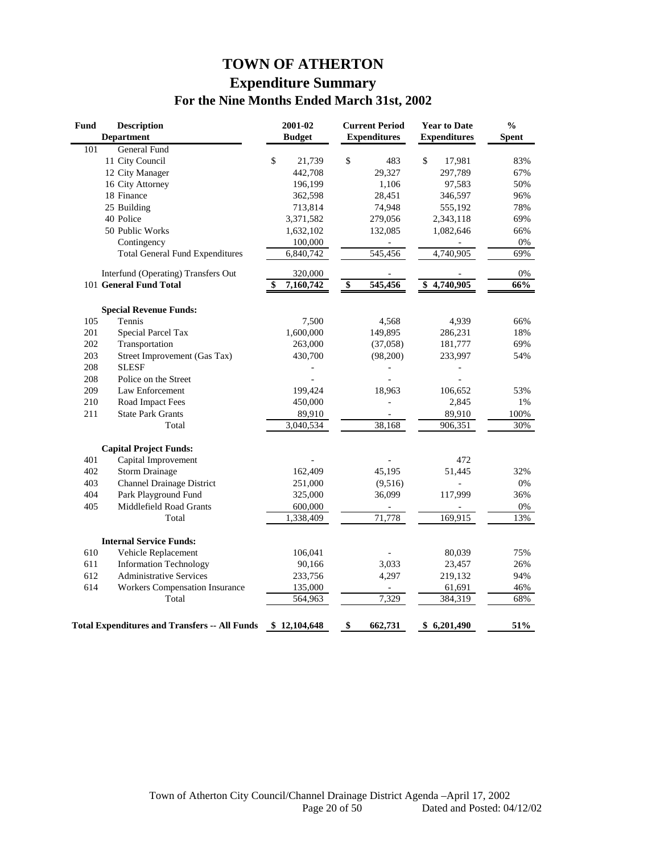# **TOWN OF ATHERTON Expenditure Summary For the Nine Months Ended March 31st, 2002**

| <b>Fund</b> | <b>Description</b><br><b>Department</b>              | 2001-02<br><b>Budget</b> |                 | <b>Current Period</b><br><b>Expenditures</b> | <b>Year to Date</b><br><b>Expenditures</b> | $\frac{0}{0}$<br><b>Spent</b> |
|-------------|------------------------------------------------------|--------------------------|-----------------|----------------------------------------------|--------------------------------------------|-------------------------------|
| 101         | <b>General Fund</b>                                  |                          |                 |                                              |                                            |                               |
|             | 11 City Council                                      | \$<br>21,739             | \$              | 483                                          | \$<br>17,981                               | 83%                           |
|             | 12 City Manager                                      | 442,708                  |                 | 29,327                                       | 297,789                                    | 67%                           |
|             | 16 City Attorney                                     | 196,199                  |                 | 1,106                                        | 97,583                                     | 50%                           |
|             | 18 Finance                                           | 362,598                  |                 | 28,451                                       | 346,597                                    | 96%                           |
|             | 25 Building                                          | 713,814                  |                 | 74,948                                       | 555,192                                    | 78%                           |
|             | 40 Police                                            | 3,371,582                |                 | 279,056                                      | 2,343,118                                  | 69%                           |
|             | 50 Public Works                                      | 1,632,102                |                 | 132,085                                      | 1,082,646                                  | 66%                           |
|             | Contingency                                          | 100,000                  |                 |                                              |                                            | 0%                            |
|             | <b>Total General Fund Expenditures</b>               | 6,840,742                |                 | 545,456                                      | 4,740,905                                  | 69%                           |
|             | Interfund (Operating) Transfers Out                  | 320,000                  |                 |                                              |                                            | 0%                            |
|             | 101 General Fund Total                               | 7,160,742                | $\overline{\$}$ | 545,456                                      | \$4,740,905                                | 66%                           |
|             | <b>Special Revenue Funds:</b>                        |                          |                 |                                              |                                            |                               |
| 105         | Tennis                                               | 7,500                    |                 | 4,568                                        | 4,939                                      | 66%                           |
| 201         | <b>Special Parcel Tax</b>                            | 1,600,000                |                 | 149,895                                      | 286,231                                    | 18%                           |
| 202         | Transportation                                       | 263,000                  |                 | (37,058)                                     | 181,777                                    | 69%                           |
| 203         | Street Improvement (Gas Tax)                         | 430,700                  |                 | (98,200)                                     | 233,997                                    | 54%                           |
| 208         | <b>SLESF</b>                                         |                          |                 |                                              |                                            |                               |
| 208         | Police on the Street                                 |                          |                 |                                              |                                            |                               |
| 209         | Law Enforcement                                      | 199,424                  |                 | 18,963                                       | 106,652                                    | 53%                           |
| 210         | Road Impact Fees                                     | 450,000                  |                 |                                              | 2,845                                      | 1%                            |
| 211         | <b>State Park Grants</b>                             | 89,910                   |                 |                                              | 89,910                                     | 100%                          |
|             | Total                                                | 3,040,534                |                 | 38,168                                       | 906,351                                    | 30%                           |
|             | <b>Capital Project Funds:</b>                        |                          |                 |                                              |                                            |                               |
| 401         | Capital Improvement                                  |                          |                 |                                              | 472                                        |                               |
| 402         | <b>Storm Drainage</b>                                | 162,409                  |                 | 45,195                                       | 51,445                                     | 32%                           |
| 403         | <b>Channel Drainage District</b>                     | 251,000                  |                 | (9,516)                                      |                                            | 0%                            |
| 404         | Park Playground Fund                                 | 325,000                  |                 | 36,099                                       | 117,999                                    | 36%                           |
| 405         | Middlefield Road Grants                              | 600,000                  |                 |                                              |                                            | $0\%$                         |
|             | Total                                                | 1,338,409                |                 | 71,778                                       | 169,915                                    | 13%                           |
|             | <b>Internal Service Funds:</b>                       |                          |                 |                                              |                                            |                               |
| 610         | Vehicle Replacement                                  | 106,041                  |                 |                                              | 80,039                                     | 75%                           |
| 611         | <b>Information Technology</b>                        | 90,166                   |                 | 3,033                                        | 23,457                                     | 26%                           |
| 612         | <b>Administrative Services</b>                       | 233,756                  |                 | 4,297                                        | 219,132                                    | 94%                           |
| 614         | <b>Workers Compensation Insurance</b>                | 135,000                  |                 |                                              | 61,691                                     | 46%                           |
|             | Total                                                | 564,963                  |                 | 7,329                                        | 384,319                                    | 68%                           |
|             | <b>Total Expenditures and Transfers -- All Funds</b> | \$12,104,648             | \$              | 662,731                                      | \$<br>6,201,490                            | 51%                           |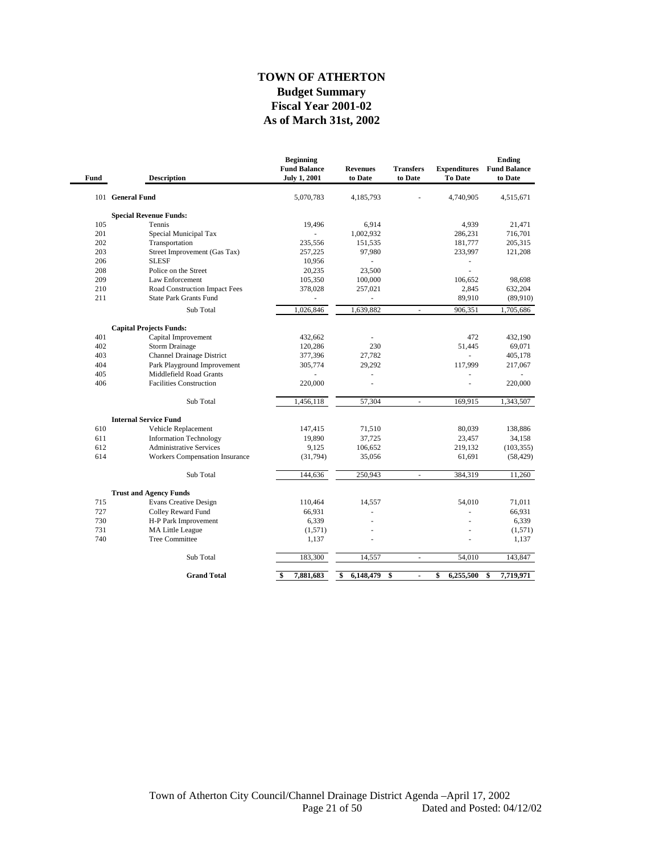#### **As of March 31st, 2002 TOWN OF ATHERTON Budget Summary Fiscal Year 2001-02**

| Fund | <b>Description</b>                    | <b>Beginning</b><br><b>Fund Balance</b><br><b>July 1, 2001</b> | <b>Revenues</b><br>to Date | <b>Transfers</b><br>to Date | <b>Expenditures</b><br>To Date | Ending<br><b>Fund Balance</b><br>to Date |
|------|---------------------------------------|----------------------------------------------------------------|----------------------------|-----------------------------|--------------------------------|------------------------------------------|
|      | 101 General Fund                      | 5,070,783                                                      | 4,185,793                  |                             | 4,740,905                      | 4,515,671                                |
|      | <b>Special Revenue Funds:</b>         |                                                                |                            |                             |                                |                                          |
| 105  | Tennis                                | 19,496                                                         | 6,914                      |                             | 4,939                          | 21,471                                   |
| 201  | Special Municipal Tax                 |                                                                | 1,002,932                  |                             | 286,231                        | 716,701                                  |
| 202  | Transportation                        | 235,556                                                        | 151,535                    |                             | 181,777                        | 205,315                                  |
| 203  | Street Improvement (Gas Tax)          | 257,225                                                        | 97,980                     |                             | 233,997                        | 121,208                                  |
| 206  | <b>SLESF</b>                          | 10,956                                                         | ÷.                         |                             | $\overline{\phantom{m}}$       |                                          |
| 208  | Police on the Street                  | 20,235                                                         | 23,500                     |                             | L,                             |                                          |
| 209  | Law Enforcement                       | 105,350                                                        | 100,000                    |                             | 106,652                        | 98,698                                   |
| 210  | Road Construction Impact Fees         | 378,028                                                        | 257,021                    |                             | 2,845                          | 632,204                                  |
| 211  | <b>State Park Grants Fund</b>         |                                                                |                            |                             | 89,910                         | (89,910)                                 |
|      | Sub Total                             | 1,026,846                                                      | 1,639,882                  | $\blacksquare$              | 906,351                        | 1,705,686                                |
|      | <b>Capital Projects Funds:</b>        |                                                                |                            |                             |                                |                                          |
| 401  | Capital Improvement                   | 432,662                                                        | L,                         |                             | 472                            | 432,190                                  |
| 402  | <b>Storm Drainage</b>                 | 120,286                                                        | 230                        |                             | 51,445                         | 69,071                                   |
| 403  | <b>Channel Drainage District</b>      | 377,396                                                        | 27,782                     |                             | ÷.                             | 405,178                                  |
| 404  | Park Playground Improvement           | 305,774                                                        | 29,292                     |                             | 117,999                        | 217,067                                  |
| 405  | Middlefield Road Grants               | ä,                                                             | L,                         |                             | ÷,                             | ä,                                       |
| 406  | <b>Facilities Construction</b>        | 220,000                                                        |                            |                             |                                | 220,000                                  |
|      | Sub Total                             | 1,456,118                                                      | 57,304                     | L.                          | 169,915                        | 1,343,507                                |
|      | <b>Internal Service Fund</b>          |                                                                |                            |                             |                                |                                          |
| 610  | Vehicle Replacement                   | 147,415                                                        | 71,510                     |                             | 80,039                         | 138,886                                  |
| 611  | <b>Information Technology</b>         | 19,890                                                         | 37,725                     |                             | 23,457                         | 34,158                                   |
| 612  | <b>Administrative Services</b>        | 9,125                                                          | 106,652                    |                             | 219,132                        | (103, 355)                               |
| 614  | <b>Workers Compensation Insurance</b> | (31,794)                                                       | 35,056                     |                             | 61,691                         | (58, 429)                                |
|      | Sub Total                             | 144,636                                                        | 250,943                    |                             | 384,319                        | 11,260                                   |
|      | <b>Trust and Agency Funds</b>         |                                                                |                            |                             |                                |                                          |
| 715  | <b>Evans Creative Design</b>          | 110,464                                                        | 14,557                     |                             | 54,010                         | 71,011                                   |
| 727  | Colley Reward Fund                    | 66,931                                                         | L,                         |                             |                                | 66,931                                   |
| 730  | H-P Park Improvement                  | 6,339                                                          |                            |                             |                                | 6,339                                    |
| 731  | MA Little League                      | (1,571)                                                        |                            |                             |                                | (1,571)                                  |
| 740  | <b>Tree Committee</b>                 | 1,137                                                          |                            |                             |                                | 1,137                                    |
|      | Sub Total                             | 183,300                                                        | 14,557                     | ÷,                          | 54,010                         | 143,847                                  |
|      | <b>Grand Total</b>                    | 7,881,683<br>\$                                                | \$<br>6,148,479            | \$<br>$\blacksquare$        | \$<br>6,255,500                | \$<br>7,719,971                          |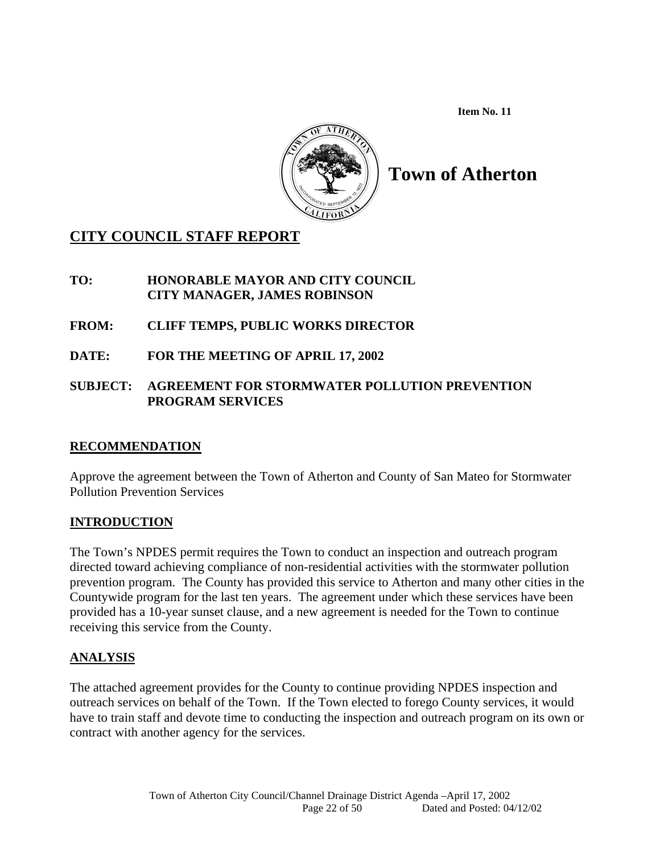**Item No. 11** 



# **Town of Atherton**

# **CITY COUNCIL STAFF REPORT**

## **TO: HONORABLE MAYOR AND CITY COUNCIL CITY MANAGER, JAMES ROBINSON**

**FROM: CLIFF TEMPS, PUBLIC WORKS DIRECTOR** 

**DATE: FOR THE MEETING OF APRIL 17, 2002** 

# **SUBJECT: AGREEMENT FOR STORMWATER POLLUTION PREVENTION PROGRAM SERVICES**

# **RECOMMENDATION**

Approve the agreement between the Town of Atherton and County of San Mateo for Stormwater Pollution Prevention Services

# **INTRODUCTION**

The Town's NPDES permit requires the Town to conduct an inspection and outreach program directed toward achieving compliance of non-residential activities with the stormwater pollution prevention program. The County has provided this service to Atherton and many other cities in the Countywide program for the last ten years. The agreement under which these services have been provided has a 10-year sunset clause, and a new agreement is needed for the Town to continue receiving this service from the County.

# **ANALYSIS**

The attached agreement provides for the County to continue providing NPDES inspection and outreach services on behalf of the Town. If the Town elected to forego County services, it would have to train staff and devote time to conducting the inspection and outreach program on its own or contract with another agency for the services.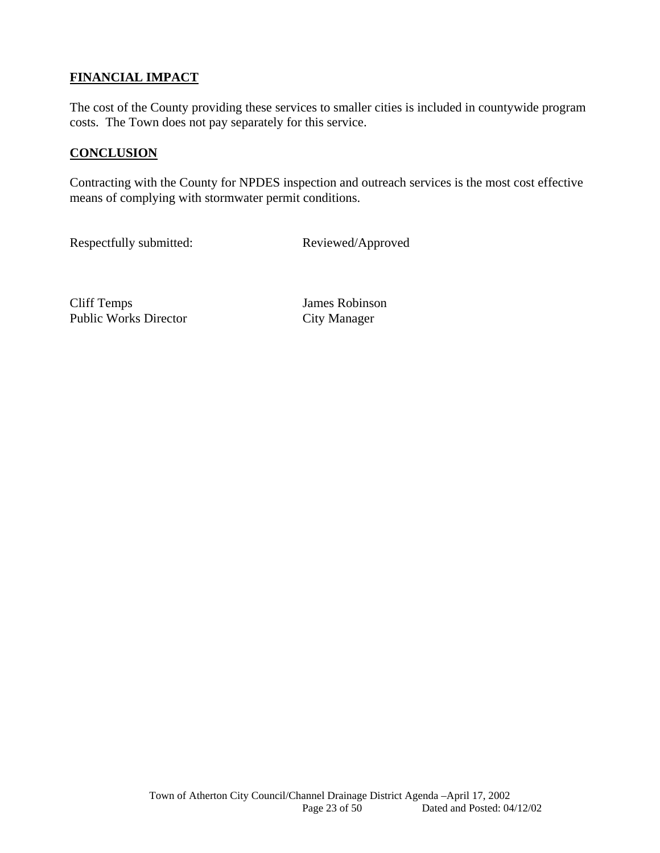# **FINANCIAL IMPACT**

The cost of the County providing these services to smaller cities is included in countywide program costs. The Town does not pay separately for this service.

### **CONCLUSION**

Contracting with the County for NPDES inspection and outreach services is the most cost effective means of complying with stormwater permit conditions.

Respectfully submitted: Reviewed/Approved

Cliff Temps James Robinson Public Works Director City Manager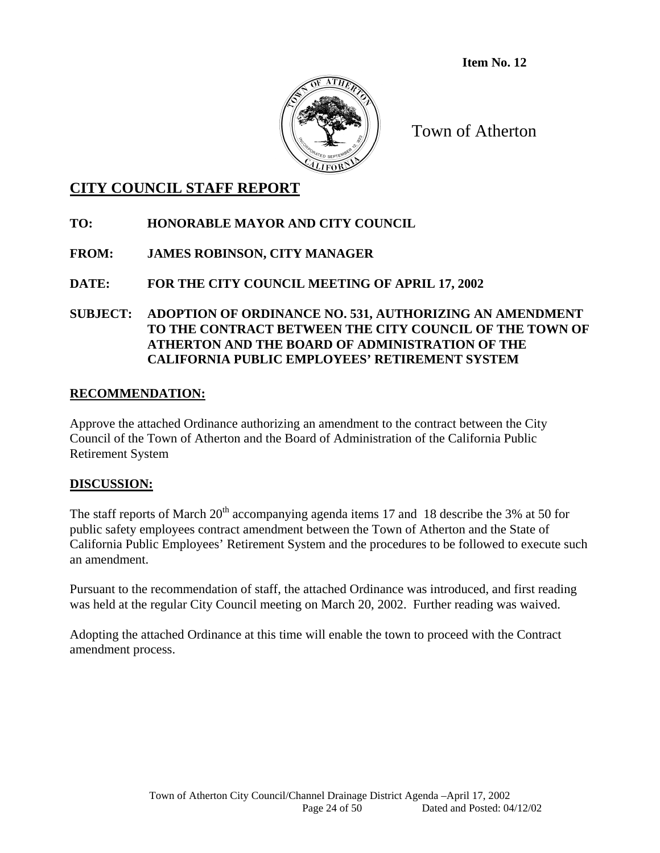**Item No. 12** 



Town of Atherton

# **CITY COUNCIL STAFF REPORT**

# **TO: HONORABLE MAYOR AND CITY COUNCIL**

# **FROM: JAMES ROBINSON, CITY MANAGER**

# **DATE: FOR THE CITY COUNCIL MEETING OF APRIL 17, 2002**

### **SUBJECT: ADOPTION OF ORDINANCE NO. 531, AUTHORIZING AN AMENDMENT TO THE CONTRACT BETWEEN THE CITY COUNCIL OF THE TOWN OF ATHERTON AND THE BOARD OF ADMINISTRATION OF THE CALIFORNIA PUBLIC EMPLOYEES' RETIREMENT SYSTEM**

### **RECOMMENDATION:**

Approve the attached Ordinance authorizing an amendment to the contract between the City Council of the Town of Atherton and the Board of Administration of the California Public Retirement System

### **DISCUSSION:**

The staff reports of March  $20<sup>th</sup>$  accompanying agenda items 17 and 18 describe the 3% at 50 for public safety employees contract amendment between the Town of Atherton and the State of California Public Employees' Retirement System and the procedures to be followed to execute such an amendment.

Pursuant to the recommendation of staff, the attached Ordinance was introduced, and first reading was held at the regular City Council meeting on March 20, 2002. Further reading was waived.

Adopting the attached Ordinance at this time will enable the town to proceed with the Contract amendment process.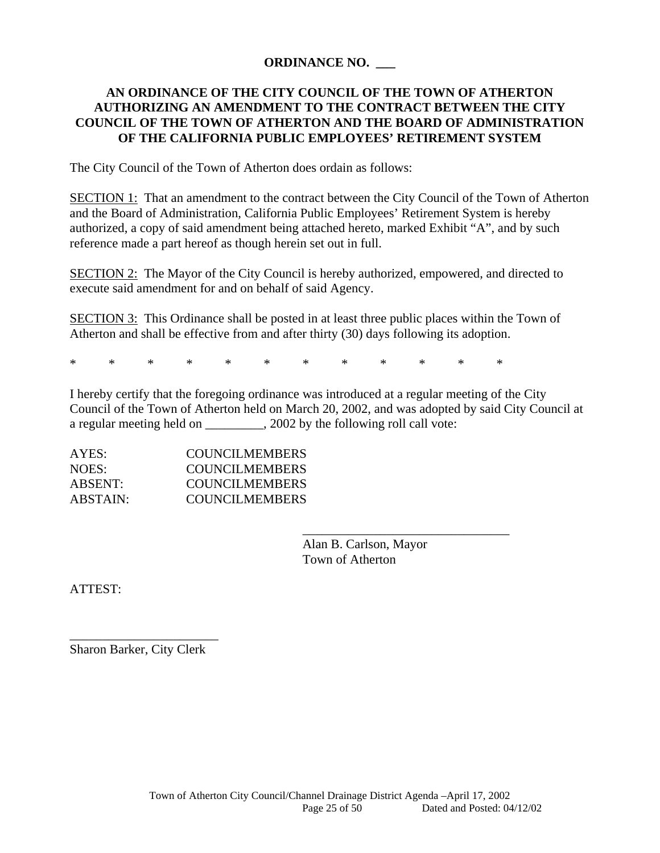### **ORDINANCE NO. \_\_\_**

### **AN ORDINANCE OF THE CITY COUNCIL OF THE TOWN OF ATHERTON AUTHORIZING AN AMENDMENT TO THE CONTRACT BETWEEN THE CITY COUNCIL OF THE TOWN OF ATHERTON AND THE BOARD OF ADMINISTRATION OF THE CALIFORNIA PUBLIC EMPLOYEES' RETIREMENT SYSTEM**

The City Council of the Town of Atherton does ordain as follows:

SECTION 1: That an amendment to the contract between the City Council of the Town of Atherton and the Board of Administration, California Public Employees' Retirement System is hereby authorized, a copy of said amendment being attached hereto, marked Exhibit "A", and by such reference made a part hereof as though herein set out in full.

SECTION 2: The Mayor of the City Council is hereby authorized, empowered, and directed to execute said amendment for and on behalf of said Agency.

SECTION 3: This Ordinance shall be posted in at least three public places within the Town of Atherton and shall be effective from and after thirty (30) days following its adoption.

\* \* \* \* \* \* \* \* \* \* \* \*

 $\overline{\phantom{a}}$  , and the contract of the contract of the contract of the contract of the contract of the contract of the contract of the contract of the contract of the contract of the contract of the contract of the contrac

I hereby certify that the foregoing ordinance was introduced at a regular meeting of the City Council of the Town of Atherton held on March 20, 2002, and was adopted by said City Council at a regular meeting held on \_\_\_\_\_\_\_\_, 2002 by the following roll call vote:

| AYES:    | COUNCILMEMBERS |
|----------|----------------|
| NOES:    | COUNCILMEMBERS |
| ABSENT:  | COUNCILMEMBERS |
| ABSTAIN: | COUNCILMEMBERS |

 Alan B. Carlson, Mayor Town of Atherton

ATTEST:

Sharon Barker, City Clerk

\_\_\_\_\_\_\_\_\_\_\_\_\_\_\_\_\_\_\_\_\_\_\_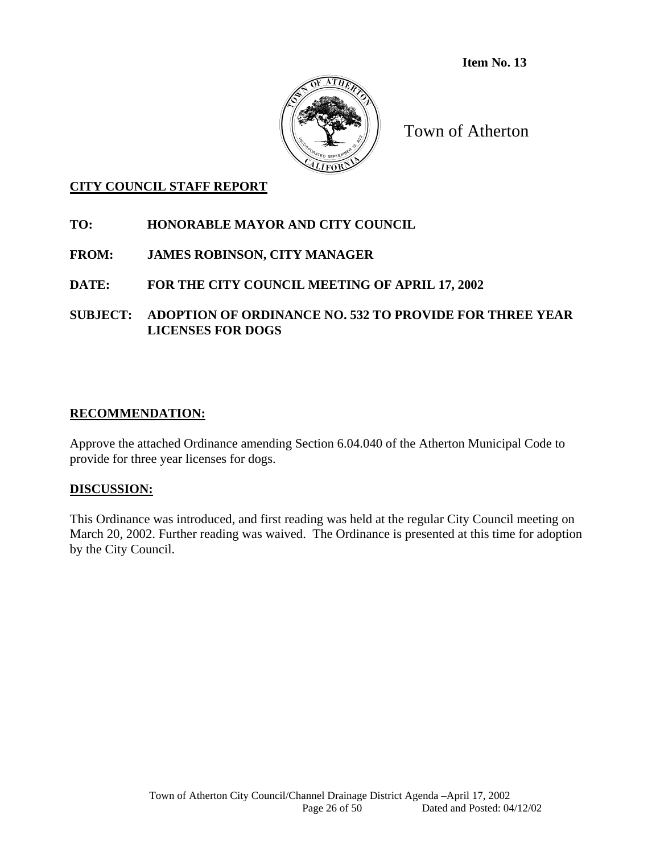**Item No. 13** 



Town of Atherton

### **CITY COUNCIL STAFF REPORT**

### **TO: HONORABLE MAYOR AND CITY COUNCIL**

### **FROM: JAMES ROBINSON, CITY MANAGER**

### **DATE: FOR THE CITY COUNCIL MEETING OF APRIL 17, 2002**

### **SUBJECT: ADOPTION OF ORDINANCE NO. 532 TO PROVIDE FOR THREE YEAR LICENSES FOR DOGS**

### **RECOMMENDATION:**

Approve the attached Ordinance amending Section 6.04.040 of the Atherton Municipal Code to provide for three year licenses for dogs.

#### **DISCUSSION:**

This Ordinance was introduced, and first reading was held at the regular City Council meeting on March 20, 2002. Further reading was waived. The Ordinance is presented at this time for adoption by the City Council.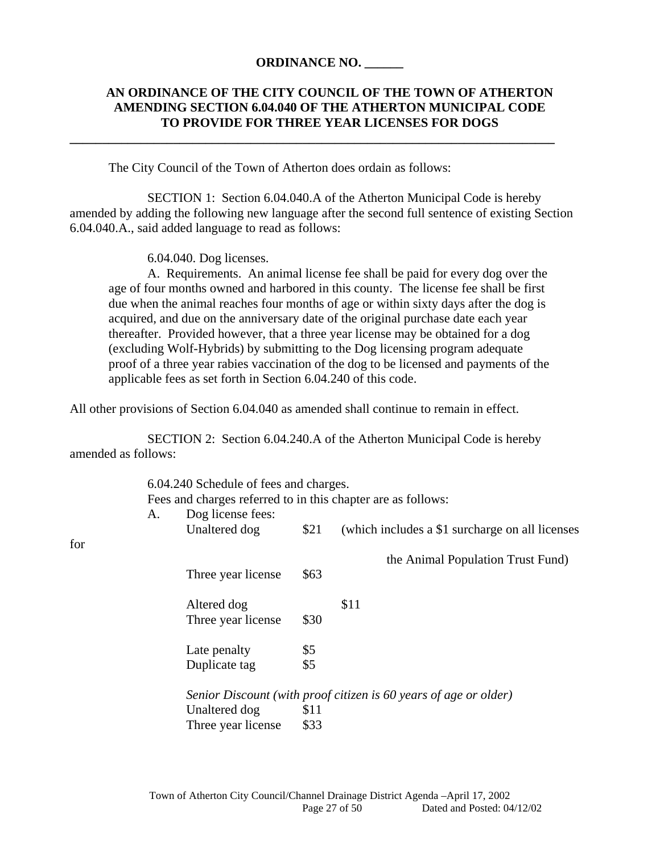#### **ORDINANCE NO. \_\_\_\_\_\_**

**\_\_\_\_\_\_\_\_\_\_\_\_\_\_\_\_\_\_\_\_\_\_\_\_\_\_\_\_\_\_\_\_\_\_\_\_\_\_\_\_\_\_\_\_\_\_\_\_\_\_\_\_\_\_\_\_\_\_\_\_\_\_\_\_\_\_\_\_\_\_\_\_\_\_\_** 

### **AN ORDINANCE OF THE CITY COUNCIL OF THE TOWN OF ATHERTON AMENDING SECTION 6.04.040 OF THE ATHERTON MUNICIPAL CODE TO PROVIDE FOR THREE YEAR LICENSES FOR DOGS**

The City Council of the Town of Atherton does ordain as follows:

 SECTION 1: Section 6.04.040.A of the Atherton Municipal Code is hereby amended by adding the following new language after the second full sentence of existing Section 6.04.040.A., said added language to read as follows:

6.04.040. Dog licenses.

for

 A. Requirements. An animal license fee shall be paid for every dog over the age of four months owned and harbored in this county. The license fee shall be first due when the animal reaches four months of age or within sixty days after the dog is acquired, and due on the anniversary date of the original purchase date each year thereafter. Provided however, that a three year license may be obtained for a dog (excluding Wolf-Hybrids) by submitting to the Dog licensing program adequate proof of a three year rabies vaccination of the dog to be licensed and payments of the applicable fees as set forth in Section 6.04.240 of this code.

All other provisions of Section 6.04.040 as amended shall continue to remain in effect.

 SECTION 2: Section 6.04.240.A of the Atherton Municipal Code is hereby amended as follows:

> 6.04.240 Schedule of fees and charges. Fees and charges referred to in this chapter are as follows: A. Dog license fees:

| for | A. | DOR IICEIISE IEES.<br>Unaltered dog | \$21 | (which includes a \$1 surcharge on all licenses)                 |
|-----|----|-------------------------------------|------|------------------------------------------------------------------|
|     |    |                                     |      | the Animal Population Trust Fund)                                |
|     |    | Three year license                  | \$63 |                                                                  |
|     |    | Altered dog                         |      | \$11                                                             |
|     |    | Three year license                  | \$30 |                                                                  |
|     |    | Late penalty                        | \$5  |                                                                  |
|     |    | Duplicate tag                       | \$5  |                                                                  |
|     |    |                                     |      | Senior Discount (with proof citizen is 60 years of age or older) |
|     |    | Unaltered dog                       | \$11 |                                                                  |
|     |    | Three year license                  | \$33 |                                                                  |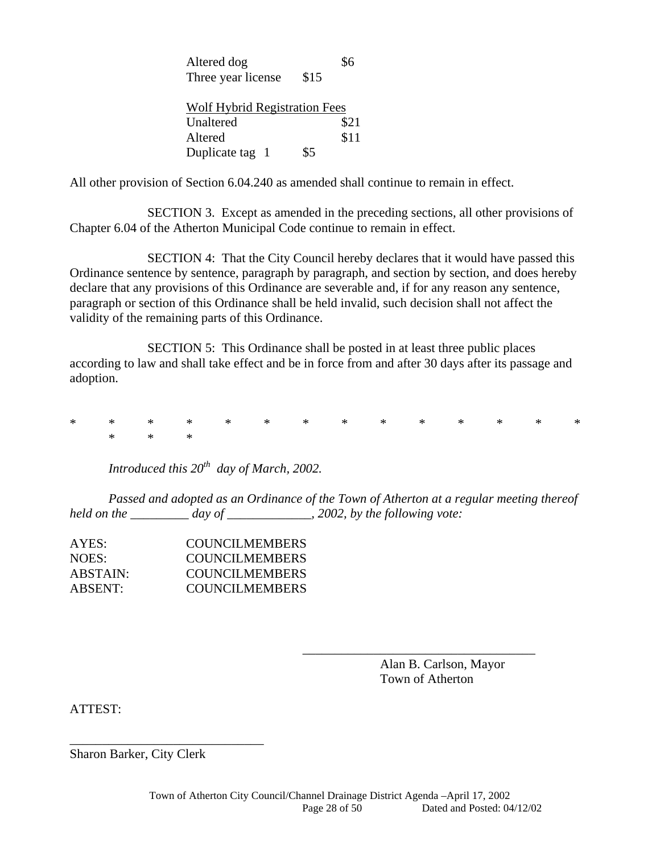| Altered dog                          |      |      |
|--------------------------------------|------|------|
| Three year license                   | \$15 |      |
| <b>Wolf Hybrid Registration Fees</b> |      |      |
| Unaltered                            |      | \$21 |
| Altered                              |      | \$11 |
| Duplicate tag 1                      | \$5  |      |

All other provision of Section 6.04.240 as amended shall continue to remain in effect.

 SECTION 3. Except as amended in the preceding sections, all other provisions of Chapter 6.04 of the Atherton Municipal Code continue to remain in effect.

 SECTION 4: That the City Council hereby declares that it would have passed this Ordinance sentence by sentence, paragraph by paragraph, and section by section, and does hereby declare that any provisions of this Ordinance are severable and, if for any reason any sentence, paragraph or section of this Ordinance shall be held invalid, such decision shall not affect the validity of the remaining parts of this Ordinance.

 SECTION 5: This Ordinance shall be posted in at least three public places according to law and shall take effect and be in force from and after 30 days after its passage and adoption.

\* \* \* \* \* \* \* \* \* \* \* \* \* \*  $*$  \* \* \*

 *Introduced this 20th day of March, 2002.* 

 *Passed and adopted as an Ordinance of the Town of Atherton at a regular meeting thereof held on the \_\_\_\_\_\_\_\_\_ day of \_\_\_\_\_\_\_\_\_\_\_\_\_, 2002, by the following vote:* 

 $\overline{\phantom{a}}$  , which is a set of the contract of the contract of the contract of the contract of the contract of the contract of the contract of the contract of the contract of the contract of the contract of the contract

| AYES:          | <b>COUNCILMEMBERS</b> |
|----------------|-----------------------|
| NOES:          | <b>COUNCILMEMBERS</b> |
| ABSTAIN:       | <b>COUNCILMEMBERS</b> |
| <b>ABSENT:</b> | <b>COUNCILMEMBERS</b> |

 Alan B. Carlson, Mayor Town of Atherton

ATTEST:

Sharon Barker, City Clerk

\_\_\_\_\_\_\_\_\_\_\_\_\_\_\_\_\_\_\_\_\_\_\_\_\_\_\_\_\_\_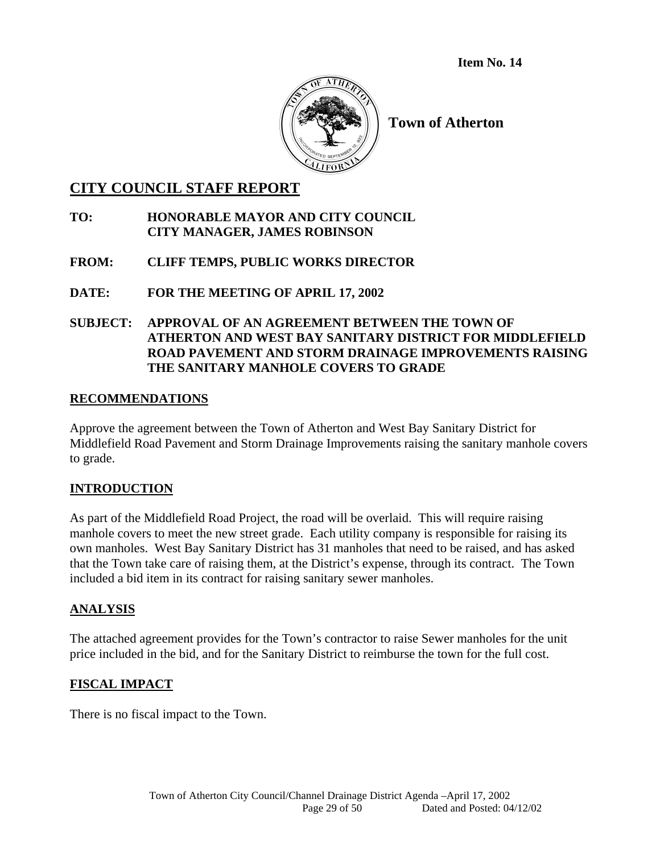**Item No. 14** 



**Town of Atherton** 

# **CITY COUNCIL STAFF REPORT**

### **TO: HONORABLE MAYOR AND CITY COUNCIL CITY MANAGER, JAMES ROBINSON**

### **FROM: CLIFF TEMPS, PUBLIC WORKS DIRECTOR**

# **DATE: FOR THE MEETING OF APRIL 17, 2002**

### **SUBJECT: APPROVAL OF AN AGREEMENT BETWEEN THE TOWN OF ATHERTON AND WEST BAY SANITARY DISTRICT FOR MIDDLEFIELD ROAD PAVEMENT AND STORM DRAINAGE IMPROVEMENTS RAISING THE SANITARY MANHOLE COVERS TO GRADE**

### **RECOMMENDATIONS**

Approve the agreement between the Town of Atherton and West Bay Sanitary District for Middlefield Road Pavement and Storm Drainage Improvements raising the sanitary manhole covers to grade.

### **INTRODUCTION**

As part of the Middlefield Road Project, the road will be overlaid. This will require raising manhole covers to meet the new street grade. Each utility company is responsible for raising its own manholes. West Bay Sanitary District has 31 manholes that need to be raised, and has asked that the Town take care of raising them, at the District's expense, through its contract. The Town included a bid item in its contract for raising sanitary sewer manholes.

### **ANALYSIS**

The attached agreement provides for the Town's contractor to raise Sewer manholes for the unit price included in the bid, and for the Sanitary District to reimburse the town for the full cost.

# **FISCAL IMPACT**

There is no fiscal impact to the Town.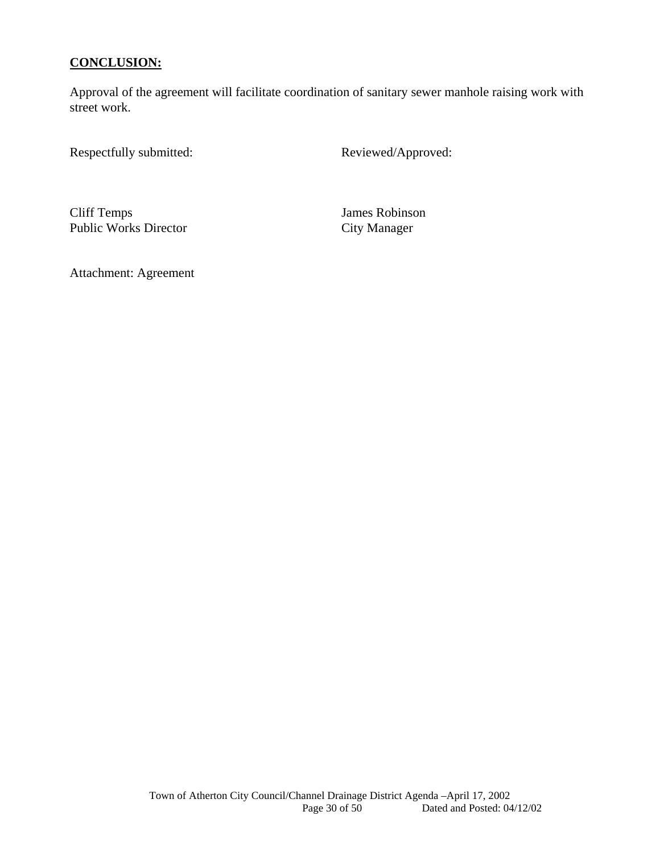### **CONCLUSION:**

Approval of the agreement will facilitate coordination of sanitary sewer manhole raising work with street work.

Respectfully submitted: Reviewed/Approved:

Cliff Temps<br>
Public Works Director<br>
City Manager<br>
City Manager Public Works Director

Attachment: Agreement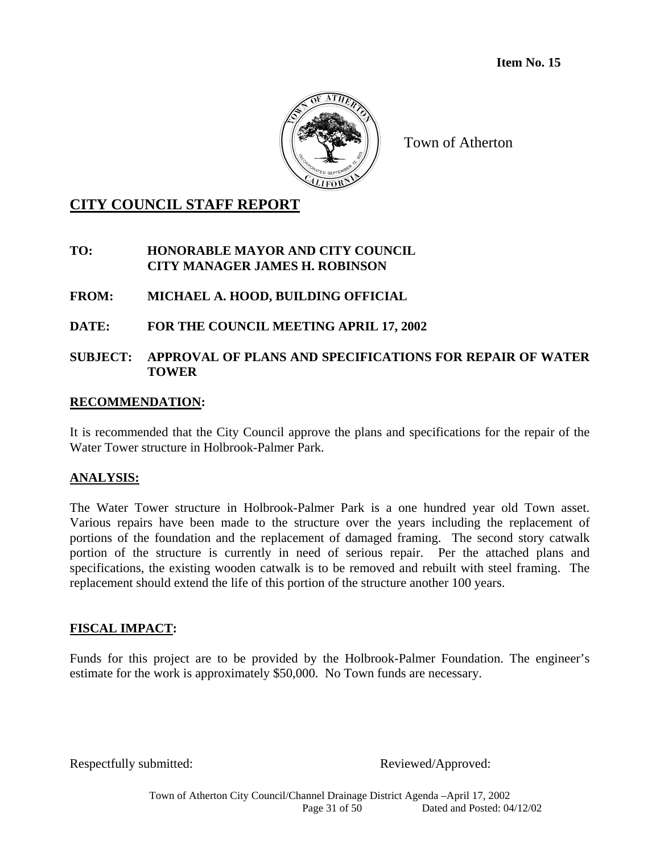

# **CITY COUNCIL STAFF REPORT**

**TO: HONORABLE MAYOR AND CITY COUNCIL CITY MANAGER JAMES H. ROBINSON** 

**FROM: MICHAEL A. HOOD, BUILDING OFFICIAL** 

**DATE: FOR THE COUNCIL MEETING APRIL 17, 2002** 

### **SUBJECT: APPROVAL OF PLANS AND SPECIFICATIONS FOR REPAIR OF WATER TOWER**

### **RECOMMENDATION:**

It is recommended that the City Council approve the plans and specifications for the repair of the Water Tower structure in Holbrook-Palmer Park.

### **ANALYSIS:**

The Water Tower structure in Holbrook-Palmer Park is a one hundred year old Town asset. Various repairs have been made to the structure over the years including the replacement of portions of the foundation and the replacement of damaged framing. The second story catwalk portion of the structure is currently in need of serious repair. Per the attached plans and specifications, the existing wooden catwalk is to be removed and rebuilt with steel framing. The replacement should extend the life of this portion of the structure another 100 years.

### **FISCAL IMPACT:**

Funds for this project are to be provided by the Holbrook-Palmer Foundation. The engineer's estimate for the work is approximately \$50,000. No Town funds are necessary.

Respectfully submitted: Reviewed/Approved: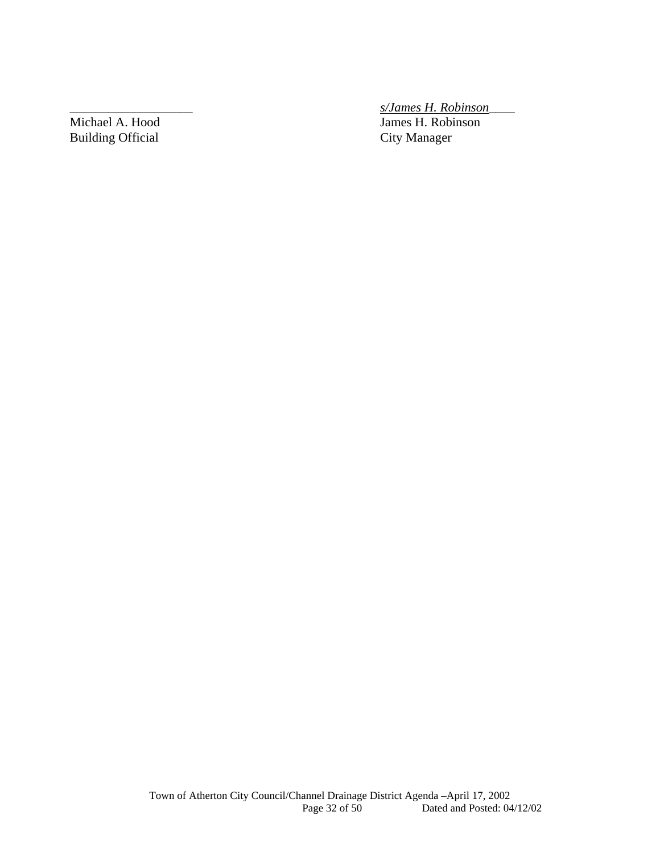Michael A. Hood James H. Robinson Building Official City Manager

\_\_\_\_\_\_\_\_\_\_\_\_\_\_\_\_\_\_\_ *s/James H. Robinson*\_\_\_\_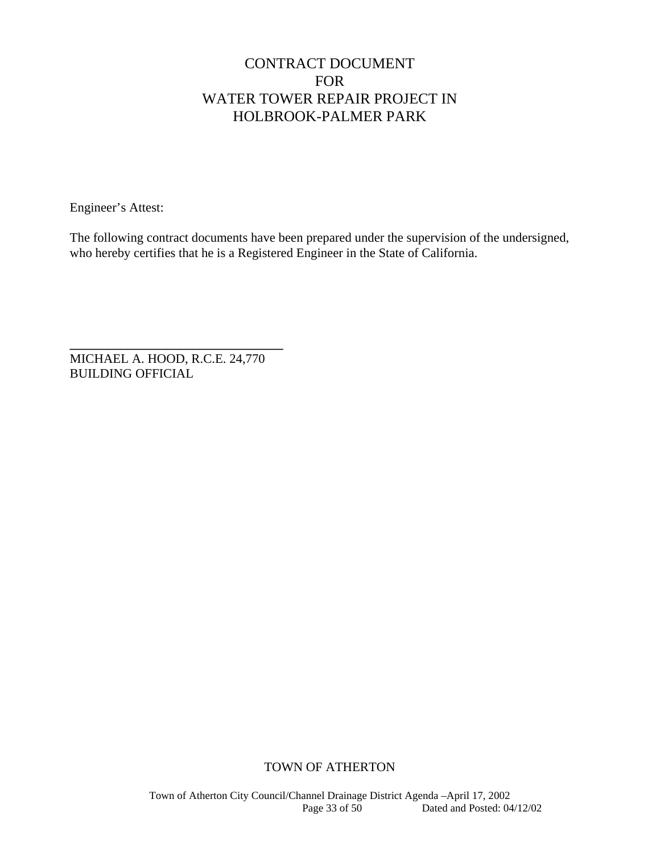# CONTRACT DOCUMENT FOR WATER TOWER REPAIR PROJECT IN HOLBROOK-PALMER PARK

Engineer's Attest:

The following contract documents have been prepared under the supervision of the undersigned, who hereby certifies that he is a Registered Engineer in the State of California.

**\_\_\_\_\_\_\_\_\_\_\_\_\_\_\_\_\_\_\_\_\_\_\_\_\_\_\_\_\_\_\_\_\_**  MICHAEL A. HOOD, R.C.E. 24,770 BUILDING OFFICIAL

### TOWN OF ATHERTON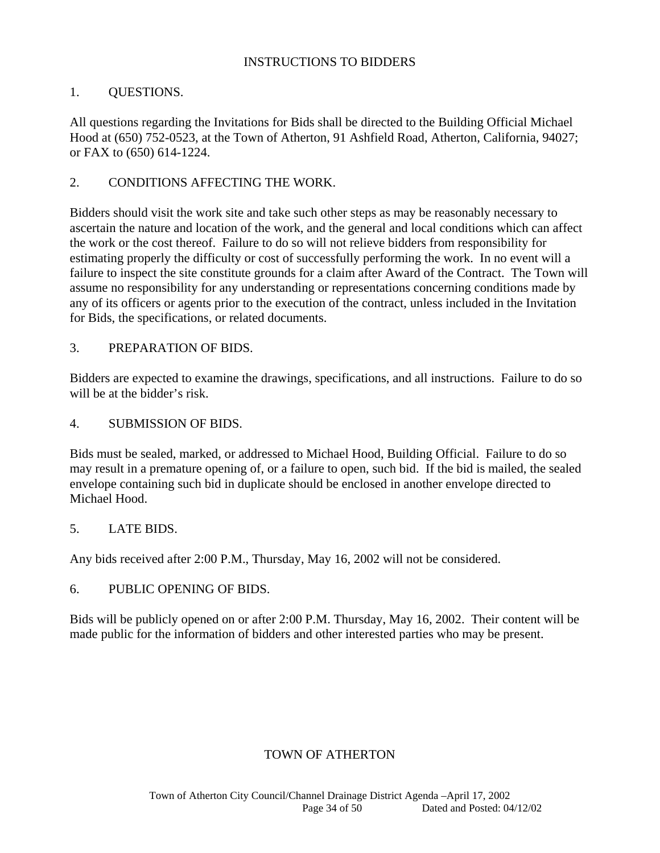### INSTRUCTIONS TO BIDDERS

### 1. QUESTIONS.

All questions regarding the Invitations for Bids shall be directed to the Building Official Michael Hood at (650) 752-0523, at the Town of Atherton, 91 Ashfield Road, Atherton, California, 94027; or FAX to (650) 614-1224.

### 2. CONDITIONS AFFECTING THE WORK.

Bidders should visit the work site and take such other steps as may be reasonably necessary to ascertain the nature and location of the work, and the general and local conditions which can affect the work or the cost thereof. Failure to do so will not relieve bidders from responsibility for estimating properly the difficulty or cost of successfully performing the work. In no event will a failure to inspect the site constitute grounds for a claim after Award of the Contract. The Town will assume no responsibility for any understanding or representations concerning conditions made by any of its officers or agents prior to the execution of the contract, unless included in the Invitation for Bids, the specifications, or related documents.

#### 3. PREPARATION OF BIDS.

Bidders are expected to examine the drawings, specifications, and all instructions. Failure to do so will be at the bidder's risk.

#### 4. SUBMISSION OF BIDS.

Bids must be sealed, marked, or addressed to Michael Hood, Building Official. Failure to do so may result in a premature opening of, or a failure to open, such bid. If the bid is mailed, the sealed envelope containing such bid in duplicate should be enclosed in another envelope directed to Michael Hood.

#### 5. LATE BIDS.

Any bids received after 2:00 P.M., Thursday, May 16, 2002 will not be considered.

### 6. PUBLIC OPENING OF BIDS.

Bids will be publicly opened on or after 2:00 P.M. Thursday, May 16, 2002. Their content will be made public for the information of bidders and other interested parties who may be present.

### TOWN OF ATHERTON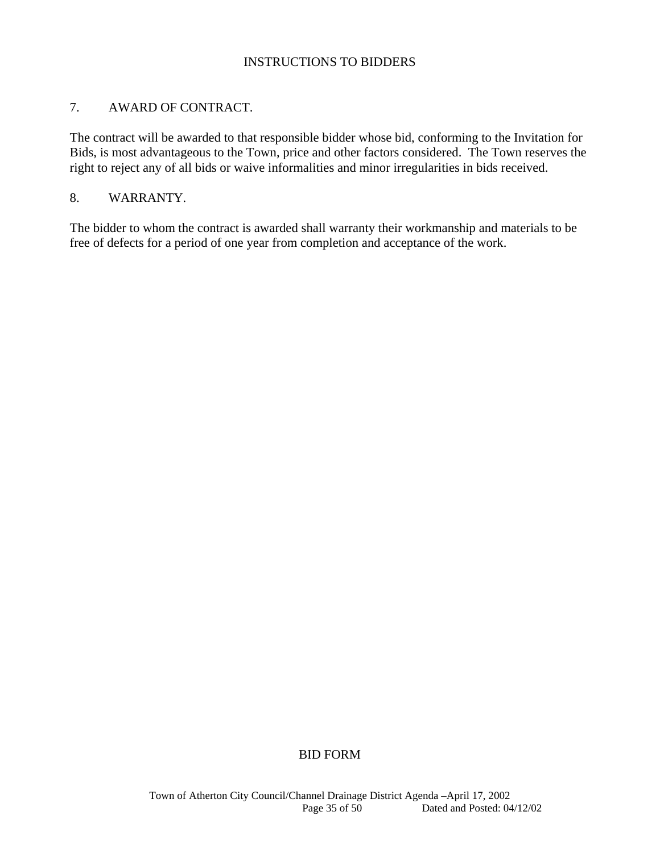### INSTRUCTIONS TO BIDDERS

### 7. AWARD OF CONTRACT.

The contract will be awarded to that responsible bidder whose bid, conforming to the Invitation for Bids, is most advantageous to the Town, price and other factors considered. The Town reserves the right to reject any of all bids or waive informalities and minor irregularities in bids received.

### 8. WARRANTY.

The bidder to whom the contract is awarded shall warranty their workmanship and materials to be free of defects for a period of one year from completion and acceptance of the work.

### BID FORM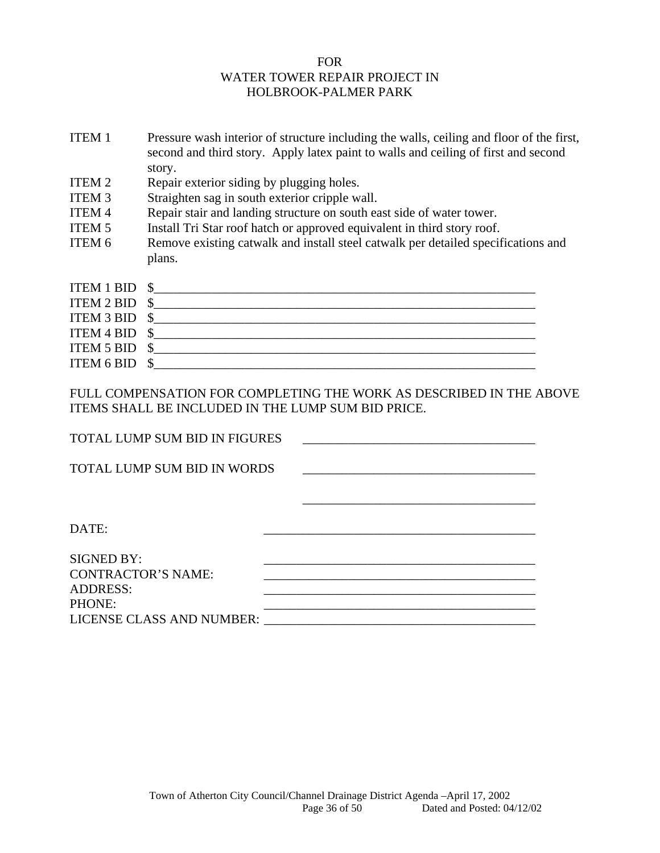### FOR WATER TOWER REPAIR PROJECT IN HOLBROOK-PALMER PARK

- ITEM 1 Pressure wash interior of structure including the walls, ceiling and floor of the first, second and third story. Apply latex paint to walls and ceiling of first and second story.
- ITEM 2 Repair exterior siding by plugging holes.
- ITEM 3 Straighten sag in south exterior cripple wall.
- ITEM 4 Repair stair and landing structure on south east side of water tower.
- ITEM 5 Install Tri Star roof hatch or approved equivalent in third story roof.
- ITEM 6 Remove existing catwalk and install steel catwalk per detailed specifications and plans.

| ITEM 1 BID \$    |  |
|------------------|--|
| ITEM $2$ BID $$$ |  |
| ITEM 3 BID \$    |  |
| ITEM 4 BID $$$   |  |
| ITEM 5 BID \$    |  |
| ITEM 6 BID \$    |  |

FULL COMPENSATION FOR COMPLETING THE WORK AS DESCRIBED IN THE ABOVE ITEMS SHALL BE INCLUDED IN THE LUMP SUM BID PRICE.

| TOTAL LUMP SUM BID IN FIGURES |  |
|-------------------------------|--|
| TOTAL LUMP SUM BID IN WORDS   |  |
|                               |  |
| DATE:                         |  |
| <b>SIGNED BY:</b>             |  |
| <b>CONTRACTOR'S NAME:</b>     |  |
| <b>ADDRESS:</b>               |  |
| <b>PHONE:</b>                 |  |
| LICENSE CLASS AND NUMBER:     |  |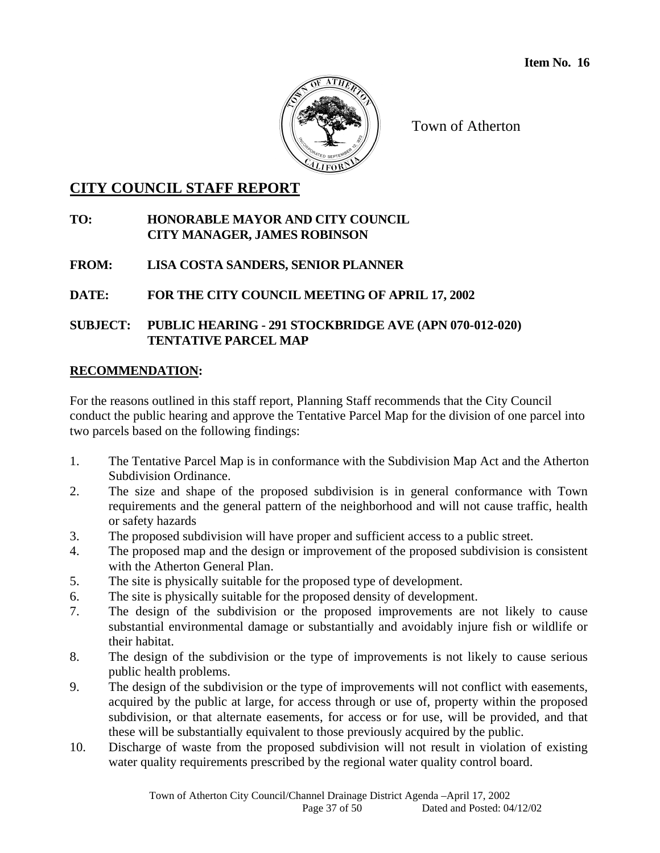

# **CITY COUNCIL STAFF REPORT**

### **TO: HONORABLE MAYOR AND CITY COUNCIL CITY MANAGER, JAMES ROBINSON**

**FROM: LISA COSTA SANDERS, SENIOR PLANNER** 

**DATE: FOR THE CITY COUNCIL MEETING OF APRIL 17, 2002** 

### **SUBJECT: PUBLIC HEARING - 291 STOCKBRIDGE AVE (APN 070-012-020) TENTATIVE PARCEL MAP**

### **RECOMMENDATION:**

For the reasons outlined in this staff report, Planning Staff recommends that the City Council conduct the public hearing and approve the Tentative Parcel Map for the division of one parcel into two parcels based on the following findings:

- 1. The Tentative Parcel Map is in conformance with the Subdivision Map Act and the Atherton Subdivision Ordinance.
- 2. The size and shape of the proposed subdivision is in general conformance with Town requirements and the general pattern of the neighborhood and will not cause traffic, health or safety hazards
- 3. The proposed subdivision will have proper and sufficient access to a public street.
- 4. The proposed map and the design or improvement of the proposed subdivision is consistent with the Atherton General Plan.
- 5. The site is physically suitable for the proposed type of development.
- 6. The site is physically suitable for the proposed density of development.
- 7. The design of the subdivision or the proposed improvements are not likely to cause substantial environmental damage or substantially and avoidably injure fish or wildlife or their habitat.
- 8. The design of the subdivision or the type of improvements is not likely to cause serious public health problems.
- 9. The design of the subdivision or the type of improvements will not conflict with easements, acquired by the public at large, for access through or use of, property within the proposed subdivision, or that alternate easements, for access or for use, will be provided, and that these will be substantially equivalent to those previously acquired by the public.
- 10. Discharge of waste from the proposed subdivision will not result in violation of existing water quality requirements prescribed by the regional water quality control board.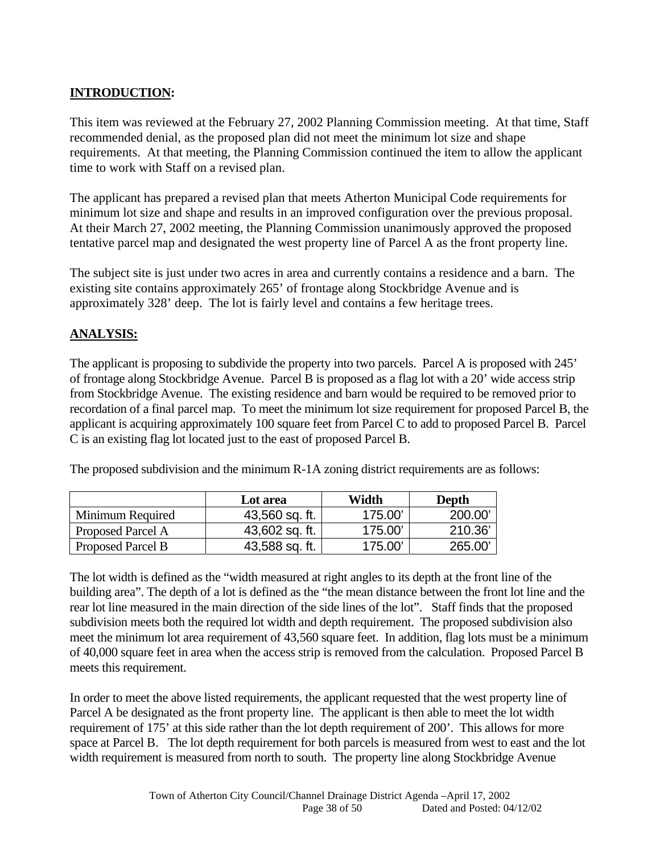# **INTRODUCTION:**

This item was reviewed at the February 27, 2002 Planning Commission meeting. At that time, Staff recommended denial, as the proposed plan did not meet the minimum lot size and shape requirements. At that meeting, the Planning Commission continued the item to allow the applicant time to work with Staff on a revised plan.

The applicant has prepared a revised plan that meets Atherton Municipal Code requirements for minimum lot size and shape and results in an improved configuration over the previous proposal. At their March 27, 2002 meeting, the Planning Commission unanimously approved the proposed tentative parcel map and designated the west property line of Parcel A as the front property line.

The subject site is just under two acres in area and currently contains a residence and a barn. The existing site contains approximately 265' of frontage along Stockbridge Avenue and is approximately 328' deep. The lot is fairly level and contains a few heritage trees.

### **ANALYSIS:**

The applicant is proposing to subdivide the property into two parcels. Parcel A is proposed with 245' of frontage along Stockbridge Avenue. Parcel B is proposed as a flag lot with a 20' wide access strip from Stockbridge Avenue. The existing residence and barn would be required to be removed prior to recordation of a final parcel map. To meet the minimum lot size requirement for proposed Parcel B, the applicant is acquiring approximately 100 square feet from Parcel C to add to proposed Parcel B. Parcel C is an existing flag lot located just to the east of proposed Parcel B.

The proposed subdivision and the minimum R-1A zoning district requirements are as follows:

|                   | Lot area       | Width  | Depth  |
|-------------------|----------------|--------|--------|
| Minimum Required  | 43,560 sq. ft. | 175.00 | 200.00 |
| Proposed Parcel A | 43,602 sq. ft. | 175.00 | 210.36 |
| Proposed Parcel B | 43,588 sq. ft. | 175.00 | 265.00 |

The lot width is defined as the "width measured at right angles to its depth at the front line of the building area". The depth of a lot is defined as the "the mean distance between the front lot line and the rear lot line measured in the main direction of the side lines of the lot". Staff finds that the proposed subdivision meets both the required lot width and depth requirement. The proposed subdivision also meet the minimum lot area requirement of 43,560 square feet. In addition, flag lots must be a minimum of 40,000 square feet in area when the access strip is removed from the calculation. Proposed Parcel B meets this requirement.

In order to meet the above listed requirements, the applicant requested that the west property line of Parcel A be designated as the front property line. The applicant is then able to meet the lot width requirement of 175' at this side rather than the lot depth requirement of 200'. This allows for more space at Parcel B.The lot depth requirement for both parcels is measured from west to east and the lot width requirement is measured from north to south. The property line along Stockbridge Avenue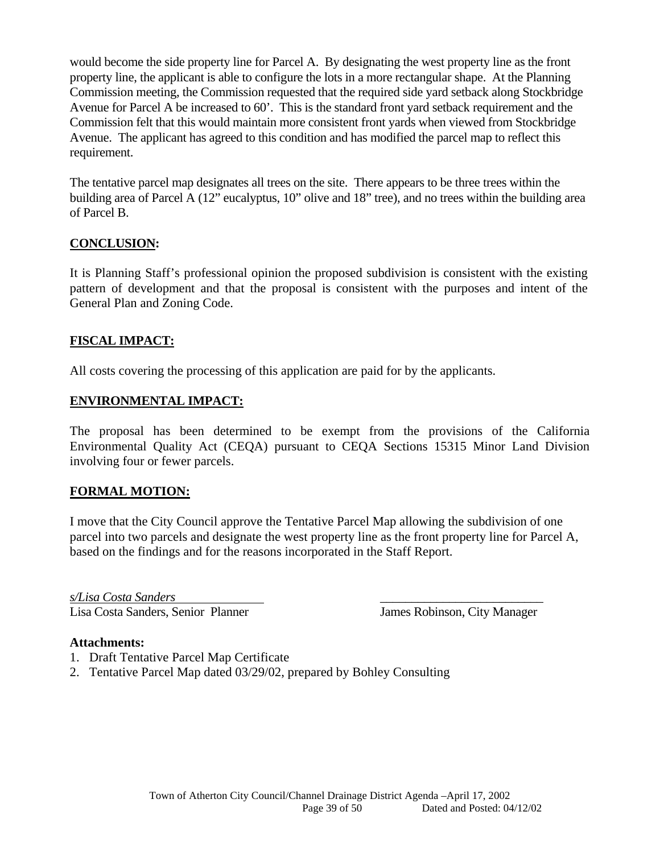would become the side property line for Parcel A. By designating the west property line as the front property line, the applicant is able to configure the lots in a more rectangular shape. At the Planning Commission meeting, the Commission requested that the required side yard setback along Stockbridge Avenue for Parcel A be increased to 60'. This is the standard front yard setback requirement and the Commission felt that this would maintain more consistent front yards when viewed from Stockbridge Avenue. The applicant has agreed to this condition and has modified the parcel map to reflect this requirement.

The tentative parcel map designates all trees on the site. There appears to be three trees within the building area of Parcel A (12" eucalyptus, 10" olive and 18" tree), and no trees within the building area of Parcel B.

# **CONCLUSION:**

It is Planning Staff's professional opinion the proposed subdivision is consistent with the existing pattern of development and that the proposal is consistent with the purposes and intent of the General Plan and Zoning Code.

# **FISCAL IMPACT:**

All costs covering the processing of this application are paid for by the applicants.

### **ENVIRONMENTAL IMPACT:**

The proposal has been determined to be exempt from the provisions of the California Environmental Quality Act (CEQA) pursuant to CEQA Sections 15315 Minor Land Division involving four or fewer parcels.

### **FORMAL MOTION:**

I move that the City Council approve the Tentative Parcel Map allowing the subdivision of one parcel into two parcels and designate the west property line as the front property line for Parcel A, based on the findings and for the reasons incorporated in the Staff Report.

*s/Lisa Costa Sanders* \_\_\_\_\_\_\_\_\_\_\_\_\_\_\_\_\_\_\_\_\_\_\_\_\_\_ Lisa Costa Sanders, Senior Planner James Robinson, City Manager

### **Attachments:**

- 1. Draft Tentative Parcel Map Certificate
- 2. Tentative Parcel Map dated 03/29/02, prepared by Bohley Consulting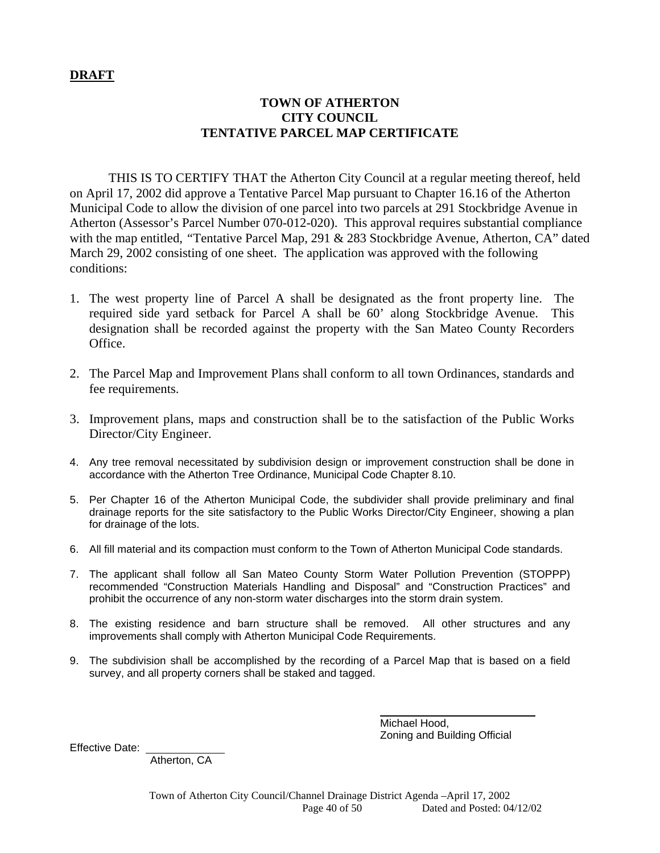### **DRAFT**

### **TOWN OF ATHERTON CITY COUNCIL TENTATIVE PARCEL MAP CERTIFICATE**

 THIS IS TO CERTIFY THAT the Atherton City Council at a regular meeting thereof, held on April 17, 2002 did approve a Tentative Parcel Map pursuant to Chapter 16.16 of the Atherton Municipal Code to allow the division of one parcel into two parcels at 291 Stockbridge Avenue in Atherton (Assessor's Parcel Number 070-012-020). This approval requires substantial compliance with the map entitled, *"*Tentative Parcel Map, 291 & 283 Stockbridge Avenue, Atherton, CA" dated March 29, 2002 consisting of one sheet. The application was approved with the following conditions:

- 1. The west property line of Parcel A shall be designated as the front property line. The required side yard setback for Parcel A shall be 60' along Stockbridge Avenue. This designation shall be recorded against the property with the San Mateo County Recorders Office.
- 2. The Parcel Map and Improvement Plans shall conform to all town Ordinances, standards and fee requirements.
- 3. Improvement plans, maps and construction shall be to the satisfaction of the Public Works Director/City Engineer.
- 4. Any tree removal necessitated by subdivision design or improvement construction shall be done in accordance with the Atherton Tree Ordinance, Municipal Code Chapter 8.10.
- 5. Per Chapter 16 of the Atherton Municipal Code, the subdivider shall provide preliminary and final drainage reports for the site satisfactory to the Public Works Director/City Engineer, showing a plan for drainage of the lots.
- 6. All fill material and its compaction must conform to the Town of Atherton Municipal Code standards.
- 7. The applicant shall follow all San Mateo County Storm Water Pollution Prevention (STOPPP) recommended "Construction Materials Handling and Disposal" and "Construction Practices" and prohibit the occurrence of any non-storm water discharges into the storm drain system.
- 8. The existing residence and barn structure shall be removed. All other structures and any improvements shall comply with Atherton Municipal Code Requirements.
- 9. The subdivision shall be accomplished by the recording of a Parcel Map that is based on a field survey, and all property corners shall be staked and tagged.

Michael Hood, Zoning and Building Official

Effective Date:

Atherton, CA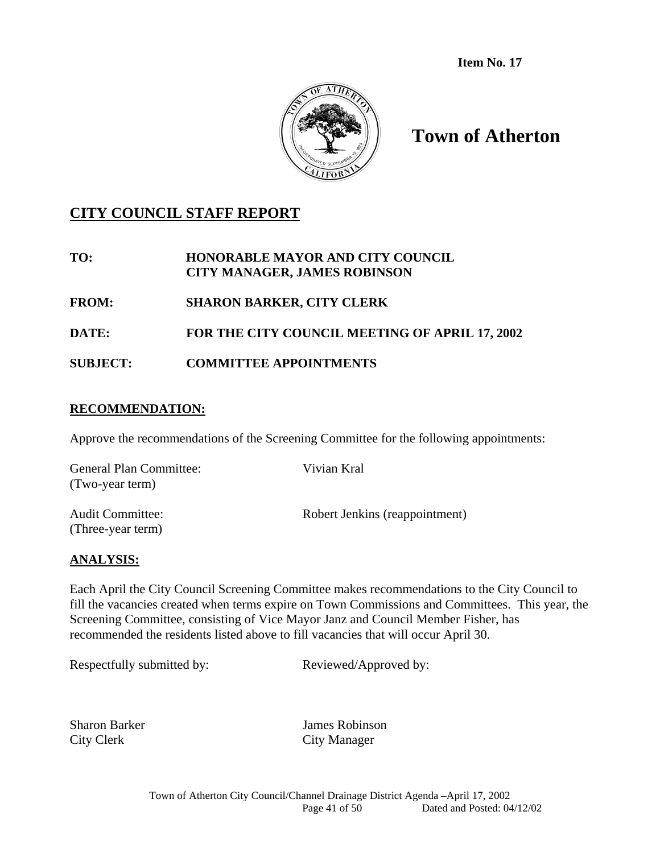**Item No. 17**



# **Town of Atherton**

# **CITY COUNCIL STAFF REPORT**

### **TO: HONORABLE MAYOR AND CITY COUNCIL CITY MANAGER, JAMES ROBINSON**

**FROM: SHARON BARKER, CITY CLERK** 

### **DATE: FOR THE CITY COUNCIL MEETING OF APRIL 17, 2002**

# **SUBJECT: COMMITTEE APPOINTMENTS**

### **RECOMMENDATION:**

Approve the recommendations of the Screening Committee for the following appointments:

| <b>General Plan Committee:</b><br>(Two-year term) | Vivian Kral                    |
|---------------------------------------------------|--------------------------------|
| <b>Audit Committee:</b><br>(Three-year term)      | Robert Jenkins (reappointment) |

### **ANALYSIS:**

Each April the City Council Screening Committee makes recommendations to the City Council to fill the vacancies created when terms expire on Town Commissions and Committees. This year, the Screening Committee, consisting of Vice Mayor Janz and Council Member Fisher, has recommended the residents listed above to fill vacancies that will occur April 30.

Respectfully submitted by: Reviewed/Approved by:

City Clerk City Manager

Sharon Barker James Robinson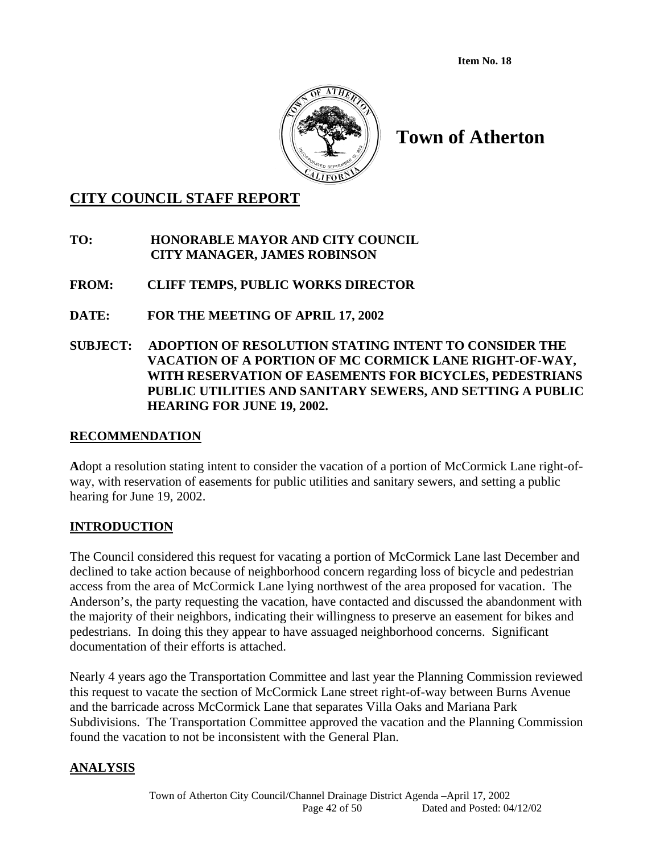**Item No. 18** 



# **Town of Atherton**

# **CITY COUNCIL STAFF REPORT**

**TO: HONORABLE MAYOR AND CITY COUNCIL CITY MANAGER, JAMES ROBINSON** 

- **FROM: CLIFF TEMPS, PUBLIC WORKS DIRECTOR**
- **DATE: FOR THE MEETING OF APRIL 17, 2002**
- **SUBJECT: ADOPTION OF RESOLUTION STATING INTENT TO CONSIDER THE VACATION OF A PORTION OF MC CORMICK LANE RIGHT-OF-WAY, WITH RESERVATION OF EASEMENTS FOR BICYCLES, PEDESTRIANS PUBLIC UTILITIES AND SANITARY SEWERS, AND SETTING A PUBLIC HEARING FOR JUNE 19, 2002.**

### **RECOMMENDATION**

**A**dopt a resolution stating intent to consider the vacation of a portion of McCormick Lane right-ofway, with reservation of easements for public utilities and sanitary sewers, and setting a public hearing for June 19, 2002.

### **INTRODUCTION**

The Council considered this request for vacating a portion of McCormick Lane last December and declined to take action because of neighborhood concern regarding loss of bicycle and pedestrian access from the area of McCormick Lane lying northwest of the area proposed for vacation. The Anderson's, the party requesting the vacation, have contacted and discussed the abandonment with the majority of their neighbors, indicating their willingness to preserve an easement for bikes and pedestrians. In doing this they appear to have assuaged neighborhood concerns. Significant documentation of their efforts is attached.

Nearly 4 years ago the Transportation Committee and last year the Planning Commission reviewed this request to vacate the section of McCormick Lane street right-of-way between Burns Avenue and the barricade across McCormick Lane that separates Villa Oaks and Mariana Park Subdivisions. The Transportation Committee approved the vacation and the Planning Commission found the vacation to not be inconsistent with the General Plan.

# **ANALYSIS**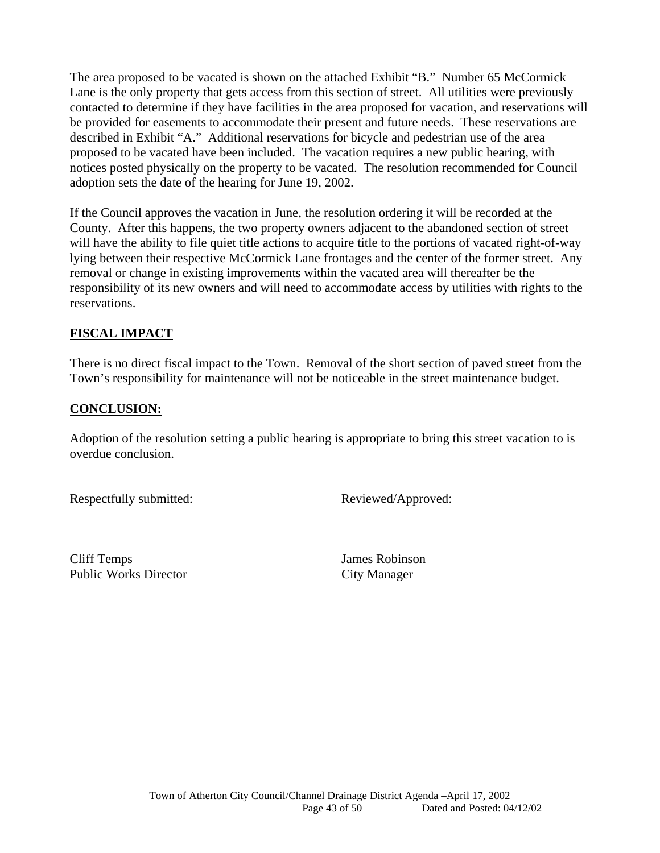The area proposed to be vacated is shown on the attached Exhibit "B." Number 65 McCormick Lane is the only property that gets access from this section of street. All utilities were previously contacted to determine if they have facilities in the area proposed for vacation, and reservations will be provided for easements to accommodate their present and future needs. These reservations are described in Exhibit "A." Additional reservations for bicycle and pedestrian use of the area proposed to be vacated have been included. The vacation requires a new public hearing, with notices posted physically on the property to be vacated. The resolution recommended for Council adoption sets the date of the hearing for June 19, 2002.

If the Council approves the vacation in June, the resolution ordering it will be recorded at the County. After this happens, the two property owners adjacent to the abandoned section of street will have the ability to file quiet title actions to acquire title to the portions of vacated right-of-way lying between their respective McCormick Lane frontages and the center of the former street. Any removal or change in existing improvements within the vacated area will thereafter be the responsibility of its new owners and will need to accommodate access by utilities with rights to the reservations.

### **FISCAL IMPACT**

There is no direct fiscal impact to the Town. Removal of the short section of paved street from the Town's responsibility for maintenance will not be noticeable in the street maintenance budget.

### **CONCLUSION:**

Adoption of the resolution setting a public hearing is appropriate to bring this street vacation to is overdue conclusion.

Respectfully submitted: Reviewed/Approved:

 Cliff Temps James Robinson Public Works Director City Manager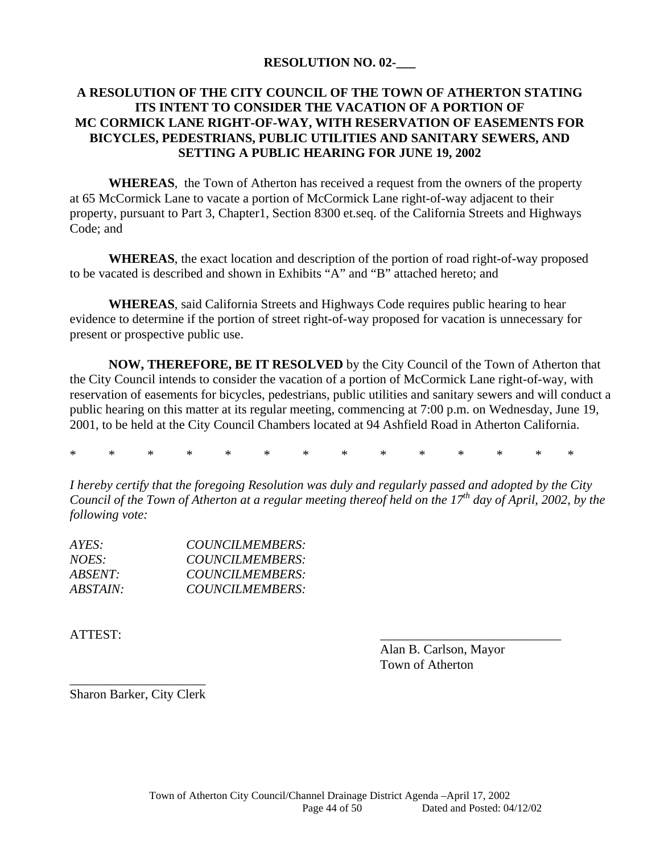### **RESOLUTION NO. 02-\_\_\_**

### **A RESOLUTION OF THE CITY COUNCIL OF THE TOWN OF ATHERTON STATING ITS INTENT TO CONSIDER THE VACATION OF A PORTION OF MC CORMICK LANE RIGHT-OF-WAY, WITH RESERVATION OF EASEMENTS FOR BICYCLES, PEDESTRIANS, PUBLIC UTILITIES AND SANITARY SEWERS, AND SETTING A PUBLIC HEARING FOR JUNE 19, 2002**

**WHEREAS**, the Town of Atherton has received a request from the owners of the property at 65 McCormick Lane to vacate a portion of McCormick Lane right-of-way adjacent to their property, pursuant to Part 3, Chapter1, Section 8300 et.seq. of the California Streets and Highways Code; and

**WHEREAS**, the exact location and description of the portion of road right-of-way proposed to be vacated is described and shown in Exhibits "A" and "B" attached hereto; and

**WHEREAS**, said California Streets and Highways Code requires public hearing to hear evidence to determine if the portion of street right-of-way proposed for vacation is unnecessary for present or prospective public use.

**NOW, THEREFORE, BE IT RESOLVED** by the City Council of the Town of Atherton that the City Council intends to consider the vacation of a portion of McCormick Lane right-of-way, with reservation of easements for bicycles, pedestrians, public utilities and sanitary sewers and will conduct a public hearing on this matter at its regular meeting, commencing at 7:00 p.m. on Wednesday, June 19, 2001, to be held at the City Council Chambers located at 94 Ashfield Road in Atherton California.

\* \* \* \* \* \* \* \* \* \* \* \* \* \*

*I hereby certify that the foregoing Resolution was duly and regularly passed and adopted by the City Council of the Town of Atherton at a regular meeting thereof held on the 17<sup>th</sup> day of April, 2002, by the following vote:* 

| AYES:           | COUNCILMEMBERS: |
|-----------------|-----------------|
| NOES:           | COUNCILMEMBERS: |
| <i>ABSENT:</i>  | COUNCILMEMBERS: |
| <i>ABSTAIN:</i> | COUNCILMEMBERS: |

ATTEST:

 Alan B. Carlson, Mayor Town of Atherton

\_\_\_\_\_\_\_\_\_\_\_\_\_\_\_\_\_\_\_\_\_ Sharon Barker, City Clerk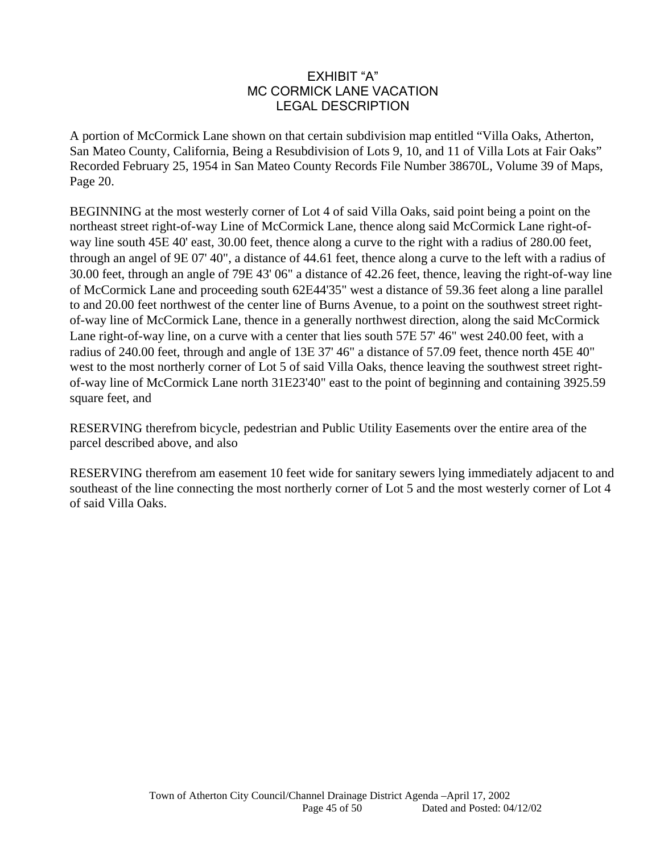### EXHIBIT "A" MC CORMICK LANE VACATION LEGAL DESCRIPTION

A portion of McCormick Lane shown on that certain subdivision map entitled "Villa Oaks, Atherton, San Mateo County, California, Being a Resubdivision of Lots 9, 10, and 11 of Villa Lots at Fair Oaks" Recorded February 25, 1954 in San Mateo County Records File Number 38670L, Volume 39 of Maps, Page 20.

BEGINNING at the most westerly corner of Lot 4 of said Villa Oaks, said point being a point on the northeast street right-of-way Line of McCormick Lane, thence along said McCormick Lane right-ofway line south 45E 40' east, 30.00 feet, thence along a curve to the right with a radius of 280.00 feet, through an angel of  $9E\ 07' 40$ ", a distance of 44.61 feet, thence along a curve to the left with a radius of 30.00 feet, through an angle of 79E 43' 06" a distance of 42.26 feet, thence, leaving the right-of-way line of McCormick Lane and proceeding south 6244'35" west a distance of 59.36 feet along a line parallel to and 20.00 feet northwest of the center line of Burns Avenue, to a point on the southwest street rightof-way line of McCormick Lane, thence in a generally northwest direction, along the said McCormick Lane right-of-way line, on a curve with a center that lies south 57E 57' 46" west 240.00 feet, with a radius of 240.00 feet, through and angle of 13E 37' 46" a distance of 57.09 feet, thence north 45E 40" west to the most northerly corner of Lot 5 of said Villa Oaks, thence leaving the southwest street rightof-way line of McCormick Lane north 3123'40" east to the point of beginning and containing 3925.59 square feet, and

RESERVING therefrom bicycle, pedestrian and Public Utility Easements over the entire area of the parcel described above, and also

RESERVING therefrom am easement 10 feet wide for sanitary sewers lying immediately adjacent to and southeast of the line connecting the most northerly corner of Lot 5 and the most westerly corner of Lot 4 of said Villa Oaks.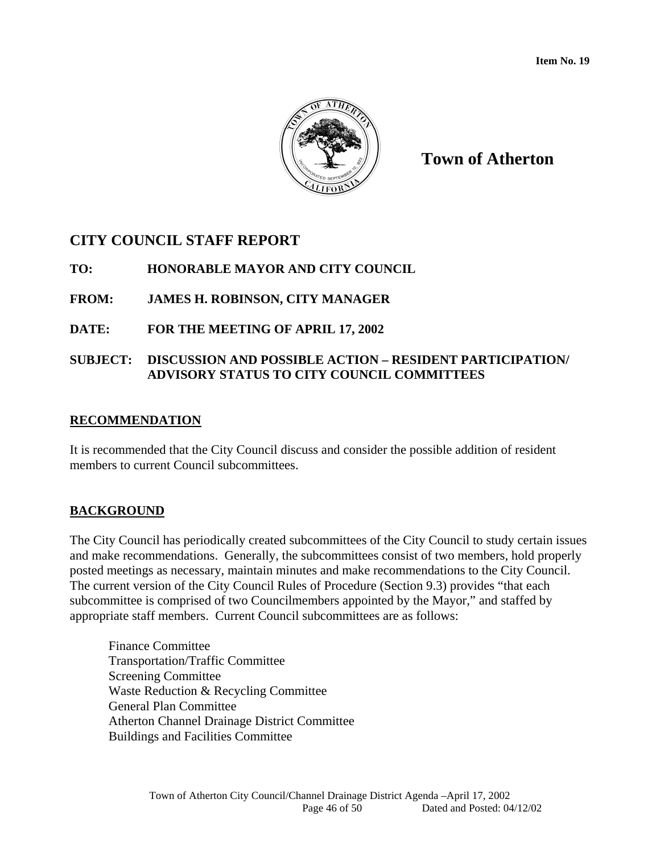

# **CITY COUNCIL STAFF REPORT**

# **TO: HONORABLE MAYOR AND CITY COUNCIL**

# **FROM: JAMES H. ROBINSON, CITY MANAGER**

### **DATE: FOR THE MEETING OF APRIL 17, 2002**

### **SUBJECT: DISCUSSION AND POSSIBLE ACTION – RESIDENT PARTICIPATION/ ADVISORY STATUS TO CITY COUNCIL COMMITTEES**

#### **RECOMMENDATION**

It is recommended that the City Council discuss and consider the possible addition of resident members to current Council subcommittees.

### **BACKGROUND**

The City Council has periodically created subcommittees of the City Council to study certain issues and make recommendations. Generally, the subcommittees consist of two members, hold properly posted meetings as necessary, maintain minutes and make recommendations to the City Council. The current version of the City Council Rules of Procedure (Section 9.3) provides "that each subcommittee is comprised of two Councilmembers appointed by the Mayor," and staffed by appropriate staff members. Current Council subcommittees are as follows:

Finance Committee Transportation/Traffic Committee Screening Committee Waste Reduction & Recycling Committee General Plan Committee Atherton Channel Drainage District Committee Buildings and Facilities Committee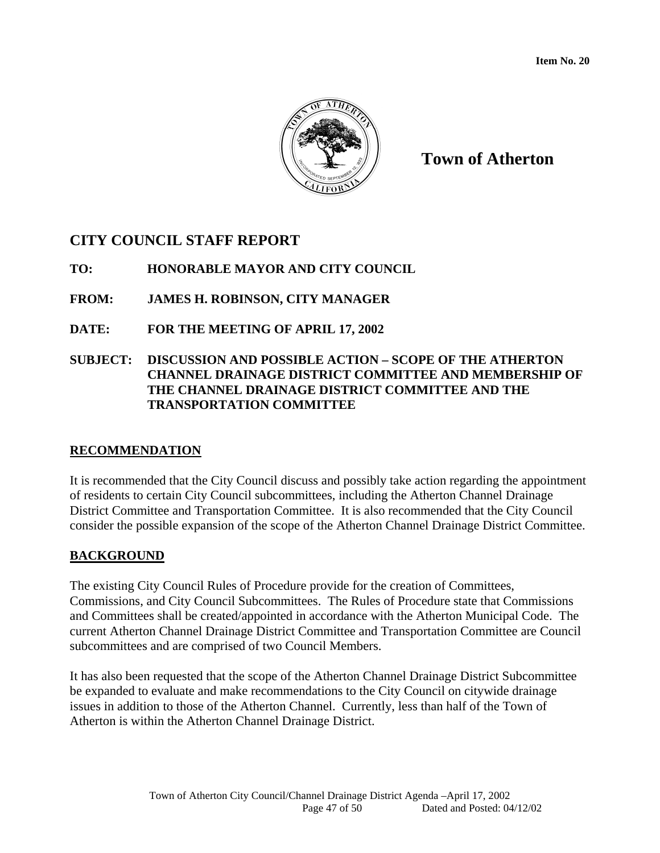

# **CITY COUNCIL STAFF REPORT**

**TO: HONORABLE MAYOR AND CITY COUNCIL** 

**FROM: JAMES H. ROBINSON, CITY MANAGER** 

**DATE: FOR THE MEETING OF APRIL 17, 2002** 

### **SUBJECT: DISCUSSION AND POSSIBLE ACTION – SCOPE OF THE ATHERTON CHANNEL DRAINAGE DISTRICT COMMITTEE AND MEMBERSHIP OF THE CHANNEL DRAINAGE DISTRICT COMMITTEE AND THE TRANSPORTATION COMMITTEE**

# **RECOMMENDATION**

It is recommended that the City Council discuss and possibly take action regarding the appointment of residents to certain City Council subcommittees, including the Atherton Channel Drainage District Committee and Transportation Committee. It is also recommended that the City Council consider the possible expansion of the scope of the Atherton Channel Drainage District Committee.

# **BACKGROUND**

The existing City Council Rules of Procedure provide for the creation of Committees, Commissions, and City Council Subcommittees. The Rules of Procedure state that Commissions and Committees shall be created/appointed in accordance with the Atherton Municipal Code. The current Atherton Channel Drainage District Committee and Transportation Committee are Council subcommittees and are comprised of two Council Members.

It has also been requested that the scope of the Atherton Channel Drainage District Subcommittee be expanded to evaluate and make recommendations to the City Council on citywide drainage issues in addition to those of the Atherton Channel. Currently, less than half of the Town of Atherton is within the Atherton Channel Drainage District.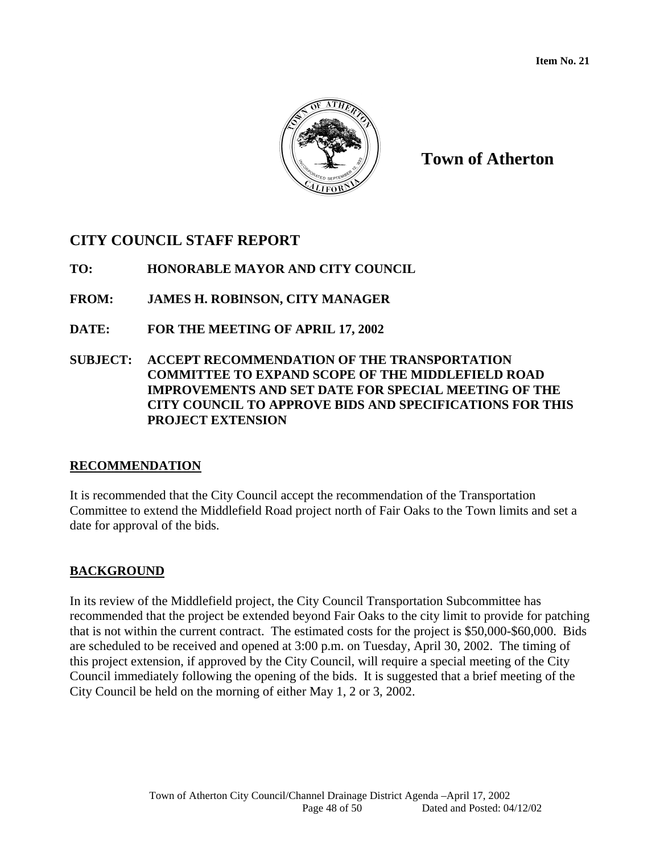

# **CITY COUNCIL STAFF REPORT**

**TO: HONORABLE MAYOR AND CITY COUNCIL** 

**FROM: JAMES H. ROBINSON, CITY MANAGER** 

**DATE: FOR THE MEETING OF APRIL 17, 2002** 

**SUBJECT: ACCEPT RECOMMENDATION OF THE TRANSPORTATION COMMITTEE TO EXPAND SCOPE OF THE MIDDLEFIELD ROAD IMPROVEMENTS AND SET DATE FOR SPECIAL MEETING OF THE CITY COUNCIL TO APPROVE BIDS AND SPECIFICATIONS FOR THIS PROJECT EXTENSION** 

# **RECOMMENDATION**

It is recommended that the City Council accept the recommendation of the Transportation Committee to extend the Middlefield Road project north of Fair Oaks to the Town limits and set a date for approval of the bids.

# **BACKGROUND**

In its review of the Middlefield project, the City Council Transportation Subcommittee has recommended that the project be extended beyond Fair Oaks to the city limit to provide for patching that is not within the current contract. The estimated costs for the project is \$50,000-\$60,000. Bids are scheduled to be received and opened at 3:00 p.m. on Tuesday, April 30, 2002. The timing of this project extension, if approved by the City Council, will require a special meeting of the City Council immediately following the opening of the bids. It is suggested that a brief meeting of the City Council be held on the morning of either May 1, 2 or 3, 2002.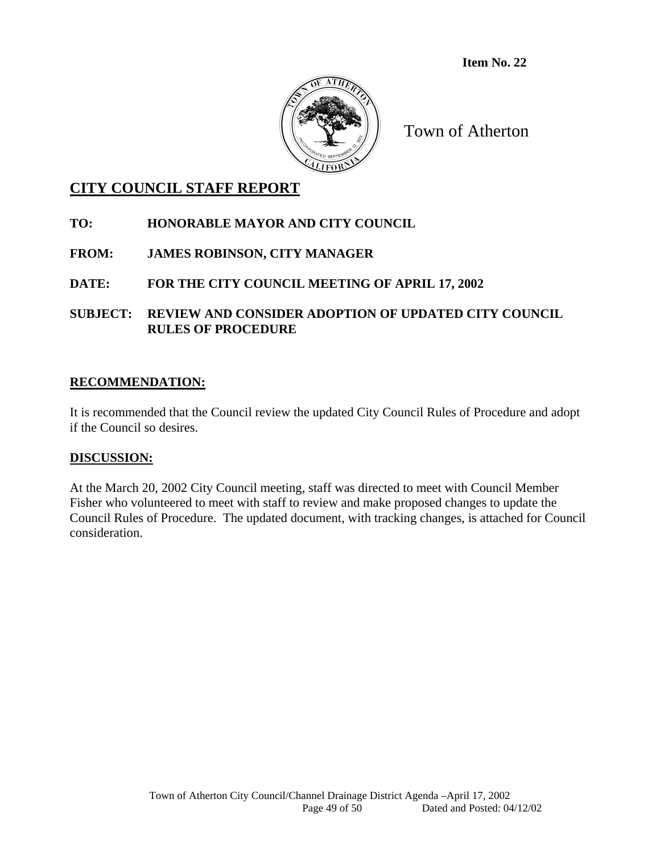

# **CITY COUNCIL STAFF REPORT**

### **TO: HONORABLE MAYOR AND CITY COUNCIL**

# **FROM: JAMES ROBINSON, CITY MANAGER**

**DATE: FOR THE CITY COUNCIL MEETING OF APRIL 17, 2002** 

**SUBJECT: REVIEW AND CONSIDER ADOPTION OF UPDATED CITY COUNCIL RULES OF PROCEDURE** 

### **RECOMMENDATION:**

It is recommended that the Council review the updated City Council Rules of Procedure and adopt if the Council so desires.

### **DISCUSSION:**

At the March 20, 2002 City Council meeting, staff was directed to meet with Council Member Fisher who volunteered to meet with staff to review and make proposed changes to update the Council Rules of Procedure. The updated document, with tracking changes, is attached for Council consideration.